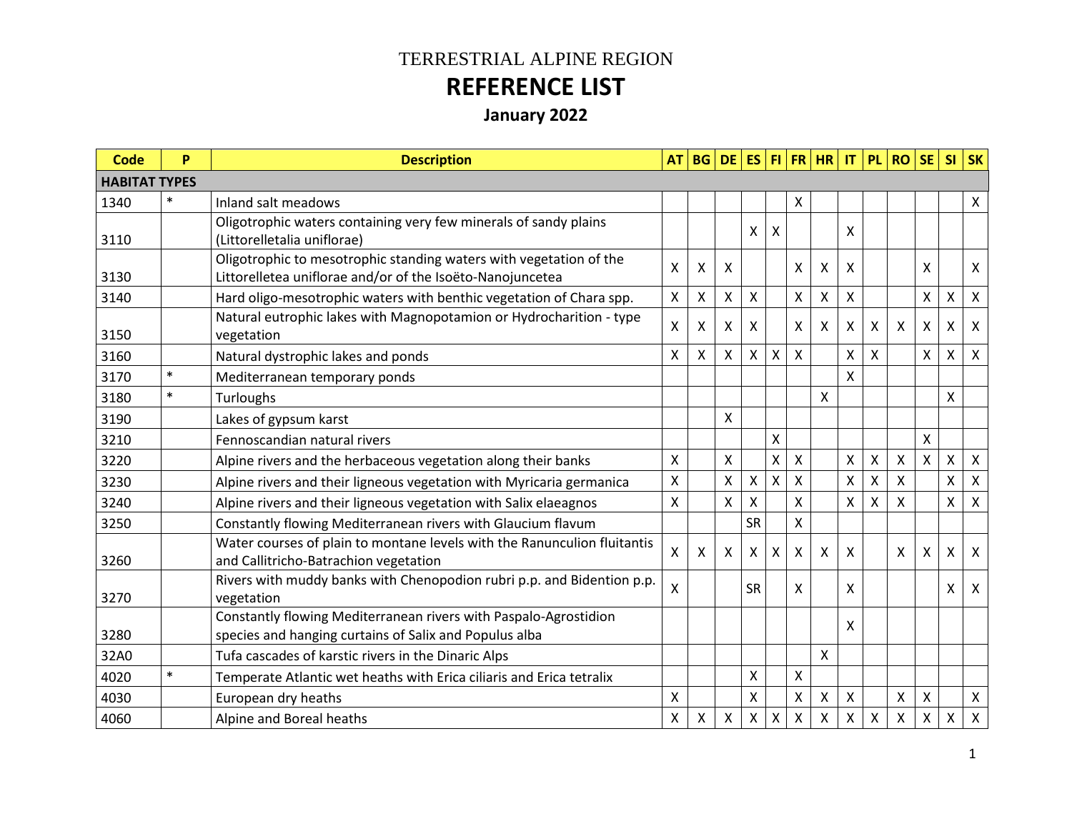## TERRESTRIAL ALPINE REGION **REFERENCE LIST**

**January 2022**

| <b>Code</b>          | P      | <b>Description</b>                                                                                                              | <b>AT</b>                 |                           | <b>BG DE ES</b>           |           |   |                    | $ F $ $ FR $ $ HR $       | IT | <b>PL</b>          | <b>RO</b> | <b>SE</b>                 | S <sub>l</sub>     | <b>SK</b>                 |
|----------------------|--------|---------------------------------------------------------------------------------------------------------------------------------|---------------------------|---------------------------|---------------------------|-----------|---|--------------------|---------------------------|----|--------------------|-----------|---------------------------|--------------------|---------------------------|
| <b>HABITAT TYPES</b> |        |                                                                                                                                 |                           |                           |                           |           |   |                    |                           |    |                    |           |                           |                    |                           |
| 1340                 | $\ast$ | Inland salt meadows                                                                                                             |                           |                           |                           |           |   | X                  |                           |    |                    |           |                           |                    | $\mathsf{X}$              |
| 3110                 |        | Oligotrophic waters containing very few minerals of sandy plains<br>(Littorelletalia uniflorae)                                 |                           |                           |                           | x         | X |                    |                           | X  |                    |           |                           |                    |                           |
| 3130                 |        | Oligotrophic to mesotrophic standing waters with vegetation of the<br>Littorelletea uniflorae and/or of the Isoëto-Nanojuncetea | X                         | X                         | X                         |           |   | X                  | X                         | X  |                    |           | X                         |                    | $\boldsymbol{\mathsf{X}}$ |
| 3140                 |        | Hard oligo-mesotrophic waters with benthic vegetation of Chara spp.                                                             | X                         | X                         | $\boldsymbol{\mathsf{X}}$ | X         |   | Χ                  | $\pmb{\times}$            | X  |                    |           | X                         | $\mathsf{X}$       | $\mathsf{X}$              |
| 3150                 |        | Natural eutrophic lakes with Magnopotamion or Hydrocharition - type<br>vegetation                                               | X                         | X                         | Χ                         | X         |   | X                  | X                         | Χ  | X                  | X         | X                         | X                  | $\boldsymbol{\mathsf{X}}$ |
| 3160                 |        | Natural dystrophic lakes and ponds                                                                                              | X                         | $\boldsymbol{\mathsf{X}}$ | $\pmb{\times}$            | X         | Χ | $\pmb{\mathsf{X}}$ |                           | Χ  | X                  |           | X                         | X                  | $\mathsf{X}$              |
| 3170                 | $\ast$ | Mediterranean temporary ponds                                                                                                   |                           |                           |                           |           |   |                    |                           | Χ  |                    |           |                           |                    |                           |
| 3180                 | $\ast$ | Turloughs                                                                                                                       |                           |                           |                           |           |   |                    | X                         |    |                    |           |                           | X                  |                           |
| 3190                 |        | Lakes of gypsum karst                                                                                                           |                           |                           | X                         |           |   |                    |                           |    |                    |           |                           |                    |                           |
| 3210                 |        | Fennoscandian natural rivers                                                                                                    |                           |                           |                           |           | X |                    |                           |    |                    |           | X                         |                    |                           |
| 3220                 |        | Alpine rivers and the herbaceous vegetation along their banks                                                                   | X                         |                           | X                         |           | Χ | Χ                  |                           | Χ  | X                  | Χ         | X                         | $\mathsf{X}$       | $\mathsf{X}$              |
| 3230                 |        | Alpine rivers and their ligneous vegetation with Myricaria germanica                                                            | $\pmb{\times}$            |                           | $\boldsymbol{\mathsf{X}}$ | Χ         | X | X                  |                           | X  | $\mathsf{\chi}$    | Χ         |                           | $\mathsf{X}$       | $\pmb{\times}$            |
| 3240                 |        | Alpine rivers and their ligneous vegetation with Salix elaeagnos                                                                | X                         |                           | $\boldsymbol{\mathsf{X}}$ | X         |   | X                  |                           | X  | X                  | X         |                           | $\mathsf{X}$       | $\mathsf{X}$              |
| 3250                 |        | Constantly flowing Mediterranean rivers with Glaucium flavum                                                                    |                           |                           |                           | <b>SR</b> |   | X                  |                           |    |                    |           |                           |                    |                           |
| 3260                 |        | Water courses of plain to montane levels with the Ranunculion fluitantis<br>and Callitricho-Batrachion vegetation               | $\boldsymbol{\mathsf{X}}$ | X                         | $\boldsymbol{\mathsf{X}}$ | X         | X | Χ                  | $\mathsf{X}$              | X  |                    | X         | $\boldsymbol{\mathsf{X}}$ | X                  | $\mathsf{X}$              |
| 3270                 |        | Rivers with muddy banks with Chenopodion rubri p.p. and Bidention p.p.<br>vegetation                                            | X                         |                           |                           | <b>SR</b> |   | X                  |                           | X  |                    |           |                           | X                  | $\mathsf{X}$              |
| 3280                 |        | Constantly flowing Mediterranean rivers with Paspalo-Agrostidion<br>species and hanging curtains of Salix and Populus alba      |                           |                           |                           |           |   |                    |                           | X  |                    |           |                           |                    |                           |
| 32A0                 |        | Tufa cascades of karstic rivers in the Dinaric Alps                                                                             |                           |                           |                           |           |   |                    | X                         |    |                    |           |                           |                    |                           |
| 4020                 | $\ast$ | Temperate Atlantic wet heaths with Erica ciliaris and Erica tetralix                                                            |                           |                           |                           | Χ         |   | X                  |                           |    |                    |           |                           |                    |                           |
| 4030                 |        | European dry heaths                                                                                                             | X                         |                           |                           | Χ         |   | Χ                  | $\boldsymbol{\mathsf{X}}$ | Χ  |                    | Χ         | X                         |                    | $\mathsf{X}$              |
| 4060                 |        | Alpine and Boreal heaths                                                                                                        | X                         | X                         | X                         | Χ         | X | Χ                  | X                         | X  | $\pmb{\mathsf{X}}$ | Χ         | X                         | $\pmb{\mathsf{X}}$ | $\pmb{\times}$            |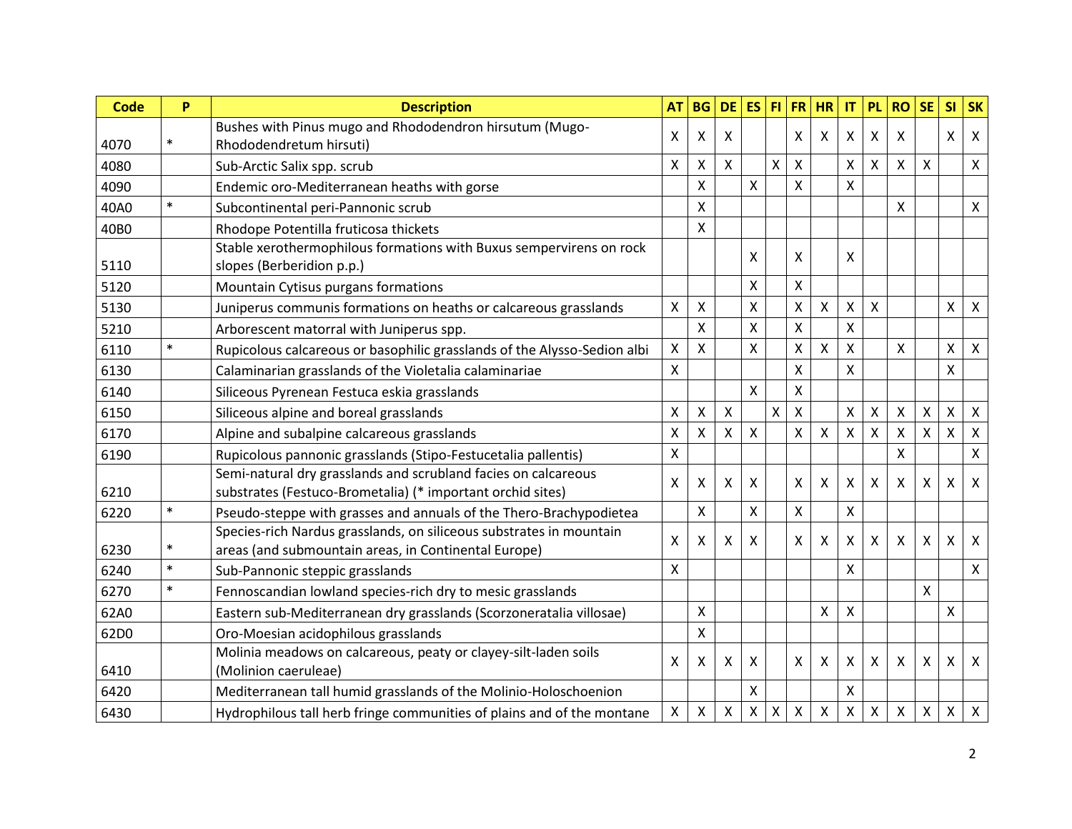| Code | P      | <b>Description</b>                                                                                                           | <b>AT</b>                 | <b>BG</b>                 | <b>DE</b>                 | <b>ES</b> |                    | $FI$ FR      | <b>HR</b>                 | IT | <b>PL</b> | <b>RO</b>          | <b>SE</b>                 | <b>SI</b>                 | <b>SK</b>    |
|------|--------|------------------------------------------------------------------------------------------------------------------------------|---------------------------|---------------------------|---------------------------|-----------|--------------------|--------------|---------------------------|----|-----------|--------------------|---------------------------|---------------------------|--------------|
| 4070 | $\ast$ | Bushes with Pinus mugo and Rhododendron hirsutum (Mugo-<br>Rhododendretum hirsuti)                                           | X                         | X                         | Χ                         |           |                    | X            | X                         | X  | X         | X                  |                           | X                         | $\mathsf{X}$ |
| 4080 |        | Sub-Arctic Salix spp. scrub                                                                                                  | X                         | X                         | $\boldsymbol{\mathsf{X}}$ |           | $\pmb{\mathsf{X}}$ | Χ            |                           | Χ  | X         | X                  | X                         |                           | $\mathsf{X}$ |
| 4090 |        | Endemic oro-Mediterranean heaths with gorse                                                                                  |                           | $\boldsymbol{\mathsf{X}}$ |                           | X         |                    | X            |                           | X  |           |                    |                           |                           |              |
| 40A0 | $\ast$ | Subcontinental peri-Pannonic scrub                                                                                           |                           | X                         |                           |           |                    |              |                           |    |           | X                  |                           |                           | $\mathsf{X}$ |
| 40B0 |        | Rhodope Potentilla fruticosa thickets                                                                                        |                           | $\mathsf{x}$              |                           |           |                    |              |                           |    |           |                    |                           |                           |              |
| 5110 |        | Stable xerothermophilous formations with Buxus sempervirens on rock<br>slopes (Berberidion p.p.)                             |                           |                           |                           | x         |                    | Χ            |                           | Χ  |           |                    |                           |                           |              |
| 5120 |        | Mountain Cytisus purgans formations                                                                                          |                           |                           |                           | Χ         |                    | X            |                           |    |           |                    |                           |                           |              |
| 5130 |        | Juniperus communis formations on heaths or calcareous grasslands                                                             | X                         | X                         |                           | X         |                    | X            | $\mathsf{X}$              | X  | X         |                    |                           | X                         | $\mathsf{X}$ |
| 5210 |        | Arborescent matorral with Juniperus spp.                                                                                     |                           | X                         |                           | X         |                    | $\mathsf{X}$ |                           | X  |           |                    |                           |                           |              |
| 6110 | $\ast$ | Rupicolous calcareous or basophilic grasslands of the Alysso-Sedion albi                                                     | X                         | X                         |                           | X         |                    | Χ            | X                         | X  |           | X                  |                           | Χ                         | $\mathsf{X}$ |
| 6130 |        | Calaminarian grasslands of the Violetalia calaminariae                                                                       | X                         |                           |                           |           |                    | X            |                           | X  |           |                    |                           | $\sf X$                   |              |
| 6140 |        | Siliceous Pyrenean Festuca eskia grasslands                                                                                  |                           |                           |                           | X         |                    | Χ            |                           |    |           |                    |                           |                           |              |
| 6150 |        | Siliceous alpine and boreal grasslands                                                                                       | $\pmb{\mathsf{X}}$        | $\pmb{\times}$            | X                         |           | $\mathsf{X}$       | $\mathsf{X}$ |                           | Χ  | Χ         | $\pmb{\mathsf{X}}$ | $\boldsymbol{\mathsf{X}}$ | $\pmb{\mathsf{X}}$        | $\mathsf{X}$ |
| 6170 |        | Alpine and subalpine calcareous grasslands                                                                                   | X                         | X                         | $\boldsymbol{\mathsf{X}}$ | X         |                    | Χ            | $\boldsymbol{\mathsf{X}}$ | X  | X         | X                  | $\boldsymbol{\mathsf{X}}$ | X                         | X            |
| 6190 |        | Rupicolous pannonic grasslands (Stipo-Festucetalia pallentis)                                                                | X                         |                           |                           |           |                    |              |                           |    |           | X                  |                           |                           | $\mathsf{X}$ |
| 6210 |        | Semi-natural dry grasslands and scrubland facies on calcareous<br>substrates (Festuco-Brometalia) (* important orchid sites) | X                         | X                         | $\boldsymbol{\mathsf{X}}$ | X         |                    | X            | X                         | X  | X         | X                  | X                         | X                         | $\mathsf{X}$ |
| 6220 | $\ast$ | Pseudo-steppe with grasses and annuals of the Thero-Brachypodietea                                                           |                           | $\boldsymbol{\mathsf{X}}$ |                           | X         |                    | X            |                           | X  |           |                    |                           |                           |              |
| 6230 | $\ast$ | Species-rich Nardus grasslands, on siliceous substrates in mountain<br>areas (and submountain areas, in Continental Europe)  | X                         | X                         | Χ                         | X         |                    | X            | X                         | Χ  | X         | X                  | X                         | x                         | $\mathsf{X}$ |
| 6240 | $\ast$ | Sub-Pannonic steppic grasslands                                                                                              | $\boldsymbol{\mathsf{X}}$ |                           |                           |           |                    |              |                           | X  |           |                    |                           |                           | $\mathsf{X}$ |
| 6270 | $\ast$ | Fennoscandian lowland species-rich dry to mesic grasslands                                                                   |                           |                           |                           |           |                    |              |                           |    |           |                    | X                         |                           |              |
| 62A0 |        | Eastern sub-Mediterranean dry grasslands (Scorzoneratalia villosae)                                                          |                           | X                         |                           |           |                    |              | $\pmb{\times}$            | Χ  |           |                    |                           | $\boldsymbol{\mathsf{X}}$ |              |
| 62D0 |        | Oro-Moesian acidophilous grasslands                                                                                          |                           | X                         |                           |           |                    |              |                           |    |           |                    |                           |                           |              |
| 6410 |        | Molinia meadows on calcareous, peaty or clayey-silt-laden soils<br>(Molinion caeruleae)                                      | $\boldsymbol{\mathsf{X}}$ | X                         | $\mathsf{X}$              | X         |                    | $\mathsf{X}$ | $\mathsf{X}$              | X  | X         | X                  | $\boldsymbol{\mathsf{X}}$ | X                         | $\mathsf{X}$ |
| 6420 |        | Mediterranean tall humid grasslands of the Molinio-Holoschoenion                                                             |                           |                           |                           | Χ         |                    |              |                           | Χ  |           |                    |                           |                           |              |
| 6430 |        | Hydrophilous tall herb fringe communities of plains and of the montane                                                       | X                         | X                         | X                         | X         | Χ                  | Χ            | $\pmb{\times}$            | X  | Χ         | $\pmb{\times}$     | $\boldsymbol{\mathsf{X}}$ | X                         | $\mathsf{X}$ |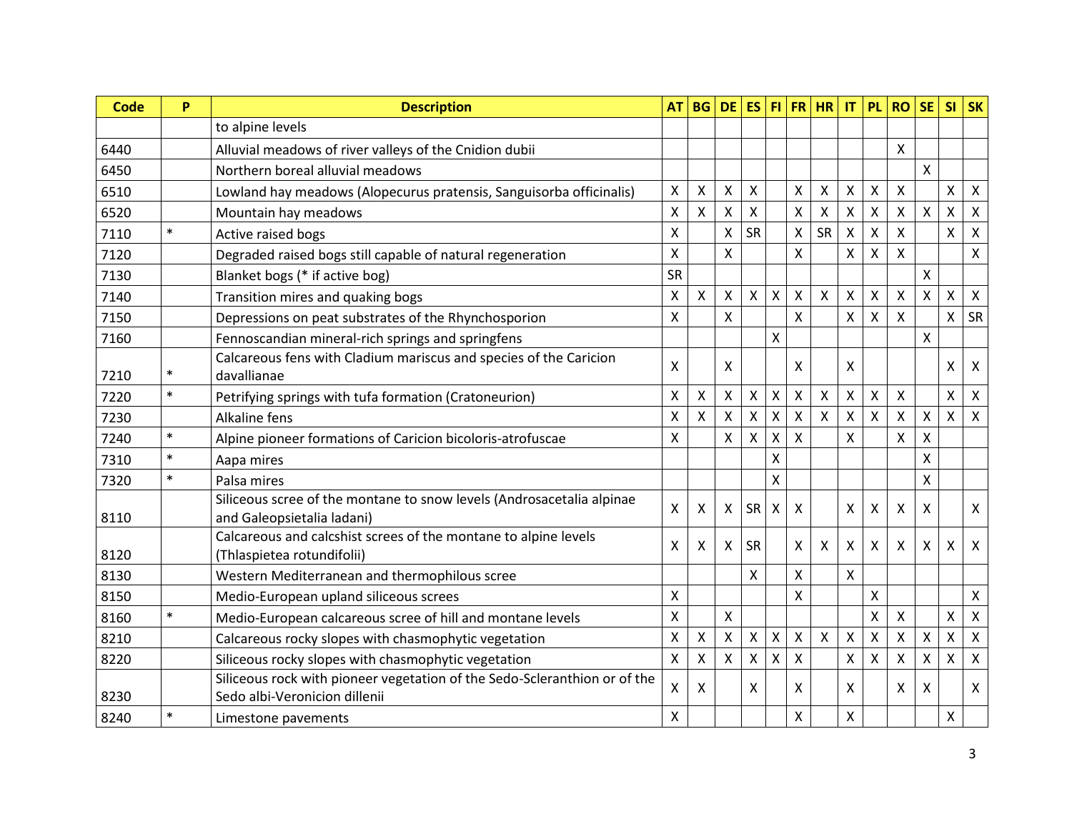| <b>Code</b> | P      | <b>Description</b>                                                                                         | <b>AT</b>                 | <b>BG</b>          | <b>DE</b>          | <b>ES</b>          |                    |                           | FI FR HR     | IT                 | <b>PL</b>    | <b>RO</b>                 | <b>SE</b>                 | SI                        | <b>SK</b>                 |
|-------------|--------|------------------------------------------------------------------------------------------------------------|---------------------------|--------------------|--------------------|--------------------|--------------------|---------------------------|--------------|--------------------|--------------|---------------------------|---------------------------|---------------------------|---------------------------|
|             |        | to alpine levels                                                                                           |                           |                    |                    |                    |                    |                           |              |                    |              |                           |                           |                           |                           |
| 6440        |        | Alluvial meadows of river valleys of the Cnidion dubii                                                     |                           |                    |                    |                    |                    |                           |              |                    |              | X                         |                           |                           |                           |
| 6450        |        | Northern boreal alluvial meadows                                                                           |                           |                    |                    |                    |                    |                           |              |                    |              |                           | $\mathsf{x}$              |                           |                           |
| 6510        |        | Lowland hay meadows (Alopecurus pratensis, Sanguisorba officinalis)                                        | X                         | X                  | X                  | Χ                  |                    | X                         | X            | Χ                  | Χ            | $\mathsf{X}$              |                           | X                         | $\pmb{\times}$            |
| 6520        |        | Mountain hay meadows                                                                                       | $\pmb{\mathsf{X}}$        | X                  | X                  | $\mathsf{X}$       |                    | $\mathsf{\chi}$           | $\mathsf{x}$ | $\mathsf{X}$       | $\mathsf{X}$ | $\mathsf{X}$              | $\mathsf{X}$              | $\mathsf{X}$              | $\boldsymbol{\mathsf{x}}$ |
| 7110        | $\ast$ | Active raised bogs                                                                                         | $\pmb{\mathsf{X}}$        |                    | X                  | <b>SR</b>          |                    | X                         | <b>SR</b>    | X                  | X            | $\boldsymbol{\mathsf{X}}$ |                           | $\boldsymbol{\mathsf{X}}$ | $\boldsymbol{\mathsf{x}}$ |
| 7120        |        | Degraded raised bogs still capable of natural regeneration                                                 | $\mathsf{X}$              |                    | $\mathsf{X}$       |                    |                    | $\mathsf{\chi}$           |              | X                  | X            | $\mathsf{X}$              |                           |                           | $\mathsf{X}$              |
| 7130        |        | Blanket bogs (* if active bog)                                                                             | SR                        |                    |                    |                    |                    |                           |              |                    |              |                           | $\mathsf{X}$              |                           |                           |
| 7140        |        | Transition mires and quaking bogs                                                                          | $\mathsf{X}$              | $\mathsf{x}$       | $\mathsf{x}$       | $\mathsf{x}$       | $\mathsf{X}$       | $\boldsymbol{\mathsf{X}}$ | $\mathsf{X}$ | X                  | Χ            | $\boldsymbol{\mathsf{X}}$ | $\mathsf{x}$              | $\boldsymbol{\mathsf{X}}$ | $\boldsymbol{\mathsf{X}}$ |
| 7150        |        | Depressions on peat substrates of the Rhynchosporion                                                       | $\pmb{\times}$            |                    | X                  |                    |                    | $\sf X$                   |              | Χ                  | X            | $\boldsymbol{\mathsf{X}}$ |                           | X                         | SR                        |
| 7160        |        | Fennoscandian mineral-rich springs and springfens                                                          |                           |                    |                    |                    | X                  |                           |              |                    |              |                           | $\boldsymbol{\mathsf{X}}$ |                           |                           |
|             |        | Calcareous fens with Cladium mariscus and species of the Caricion                                          | X                         |                    | X                  |                    |                    | $\times$                  |              | X                  |              |                           |                           | X                         | $\boldsymbol{\mathsf{X}}$ |
| 7210        | $\ast$ | davallianae                                                                                                |                           |                    |                    |                    |                    |                           |              |                    |              |                           |                           |                           |                           |
| 7220        | $\ast$ | Petrifying springs with tufa formation (Cratoneurion)                                                      | X                         | X                  | X                  | Χ                  | $\mathsf X$        | $\boldsymbol{\mathsf{X}}$ | X            | $\pmb{\mathsf{X}}$ | Χ            | $\boldsymbol{\mathsf{X}}$ |                           | X                         | X                         |
| 7230        |        | <b>Alkaline fens</b>                                                                                       | $\boldsymbol{\mathsf{X}}$ | $\pmb{\mathsf{X}}$ | $\pmb{\mathsf{X}}$ | $\pmb{\mathsf{X}}$ | $\mathsf{X}$       | $\pmb{\mathsf{X}}$        | $\mathsf{x}$ | $\pmb{\mathsf{X}}$ | X            | $\mathsf{X}$              | $\pmb{\chi}$              | $\pmb{\times}$            | $\mathsf{X}$              |
| 7240        | $\ast$ | Alpine pioneer formations of Caricion bicoloris-atrofuscae                                                 | X                         |                    | $\mathsf{x}$       | Χ                  | $\pmb{\mathsf{X}}$ | $\pmb{\mathsf{X}}$        |              | Χ                  |              | X                         | X                         |                           |                           |
| 7310        | $\ast$ | Aapa mires                                                                                                 |                           |                    |                    |                    | X                  |                           |              |                    |              |                           | Χ                         |                           |                           |
| 7320        | $\ast$ | Palsa mires                                                                                                |                           |                    |                    |                    | Χ                  |                           |              |                    |              |                           | X                         |                           |                           |
|             |        | Siliceous scree of the montane to snow levels (Androsacetalia alpinae                                      | X                         | X                  | X                  | <b>SR</b>          | X                  | $\boldsymbol{\mathsf{X}}$ |              | X                  | Χ            | X                         | X                         |                           | $\mathsf{X}$              |
| 8110        |        | and Galeopsietalia ladani)                                                                                 |                           |                    |                    |                    |                    |                           |              |                    |              |                           |                           |                           |                           |
|             |        | Calcareous and calcshist screes of the montane to alpine levels                                            | X                         | X                  | X                  | <b>SR</b>          |                    | X                         | X            | X                  | X            | $\boldsymbol{\mathsf{X}}$ | X                         | X                         | X                         |
| 8120        |        | (Thlaspietea rotundifolii)                                                                                 |                           |                    |                    |                    |                    |                           |              |                    |              |                           |                           |                           |                           |
| 8130        |        | Western Mediterranean and thermophilous scree                                                              |                           |                    |                    | X                  |                    | $\mathsf{X}$              |              | X                  |              |                           |                           |                           |                           |
| 8150        |        | Medio-European upland siliceous screes                                                                     | X                         |                    |                    |                    |                    | X                         |              |                    | Χ            |                           |                           |                           | Χ                         |
| 8160        | $\ast$ | Medio-European calcareous scree of hill and montane levels                                                 | X                         |                    | X                  |                    |                    |                           |              |                    | X            | $\boldsymbol{\mathsf{X}}$ |                           | $\boldsymbol{\mathsf{X}}$ | $\boldsymbol{\mathsf{X}}$ |
| 8210        |        | Calcareous rocky slopes with chasmophytic vegetation                                                       | Χ                         | X                  | $\pmb{\times}$     | Χ                  | Χ                  | $\boldsymbol{\mathsf{X}}$ | X            | Χ                  | Χ            | $\boldsymbol{\mathsf{X}}$ | Χ                         | X                         | $\pmb{\times}$            |
| 8220        |        | Siliceous rocky slopes with chasmophytic vegetation                                                        | $\pmb{\mathsf{X}}$        | X                  | $\mathsf{x}$       | X                  | $\mathsf{X}$       | $\boldsymbol{\mathsf{X}}$ |              | X                  | X            | $\pmb{\mathsf{X}}$        | $\pmb{\chi}$              | $\mathsf{X}$              | $\boldsymbol{\mathsf{x}}$ |
| 8230        |        | Siliceous rock with pioneer vegetation of the Sedo-Scleranthion or of the<br>Sedo albi-Veronicion dillenii | $\mathsf{X}$              | X                  |                    | X                  |                    | $\times$                  |              | X                  |              | X                         | X                         |                           | $\mathsf{X}$              |
| 8240        | $\ast$ | Limestone pavements                                                                                        | X                         |                    |                    |                    |                    | $\pmb{\times}$            |              | Χ                  |              |                           |                           | $\pmb{\times}$            |                           |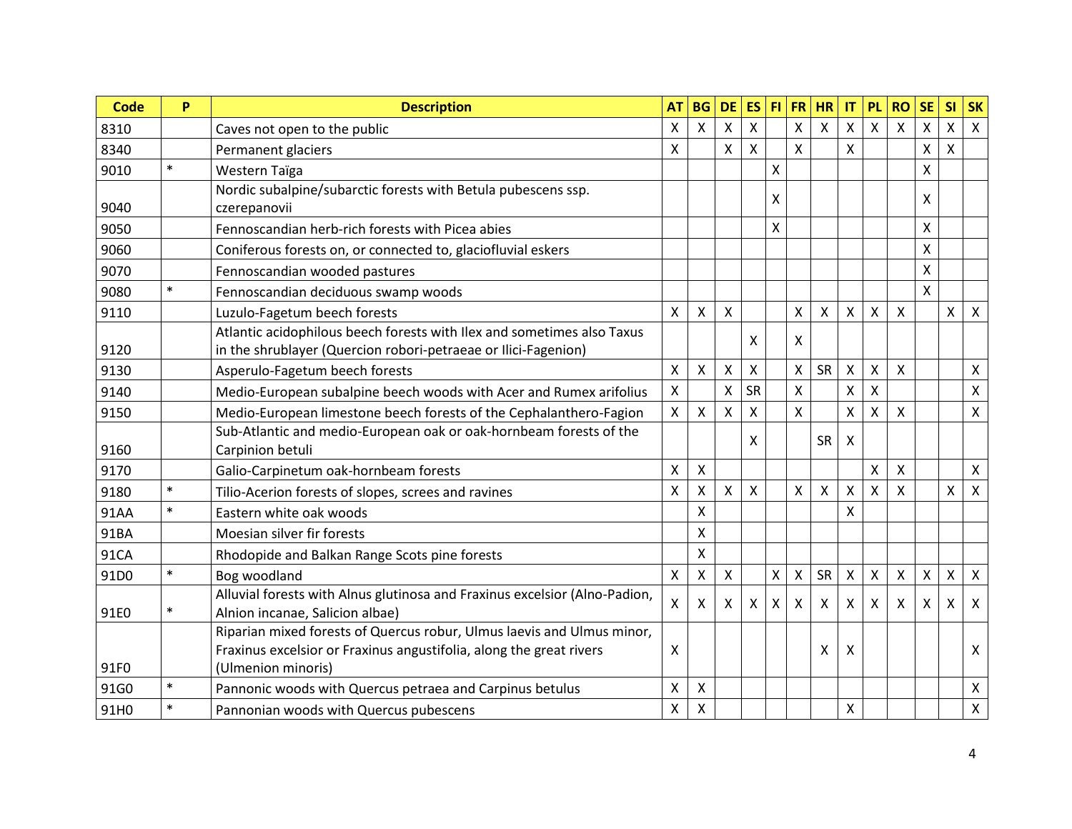| Code | P      | <b>Description</b>                                                         | <b>AT</b>                 | <b>BG</b>      | <b>DE</b>                 | <b>ES</b>                 |              | $FI$ $FR$      | <b>HR</b>                 | IT                      | <b>PL</b>               | <b>RO</b> | <b>SE</b>                 | <b>SI</b>          | <b>SK</b>      |
|------|--------|----------------------------------------------------------------------------|---------------------------|----------------|---------------------------|---------------------------|--------------|----------------|---------------------------|-------------------------|-------------------------|-----------|---------------------------|--------------------|----------------|
| 8310 |        | Caves not open to the public                                               | X                         | $\mathsf{x}$   | $\mathsf{x}$              | X                         |              | $\sf X$        | $\mathsf{x}$              | Χ                       | $\overline{\mathsf{X}}$ | $\sf X$   | $\boldsymbol{\mathsf{X}}$ | $\mathsf{X}$       | $\mathsf{X}$   |
| 8340 |        | Permanent glaciers                                                         | X                         |                | $\boldsymbol{\mathsf{X}}$ | X                         |              | Χ              |                           | Χ                       |                         |           | X                         | X                  |                |
| 9010 | $\ast$ | Western Taïga                                                              |                           |                |                           |                           | X            |                |                           |                         |                         |           | X                         |                    |                |
|      |        | Nordic subalpine/subarctic forests with Betula pubescens ssp.              |                           |                |                           |                           | X            |                |                           |                         |                         |           | X                         |                    |                |
| 9040 |        | czerepanovii                                                               |                           |                |                           |                           |              |                |                           |                         |                         |           |                           |                    |                |
| 9050 |        | Fennoscandian herb-rich forests with Picea abies                           |                           |                |                           |                           | $\mathsf{X}$ |                |                           |                         |                         |           | $\sf X$                   |                    |                |
| 9060 |        | Coniferous forests on, or connected to, glaciofluvial eskers               |                           |                |                           |                           |              |                |                           |                         |                         |           | $\mathsf{\chi}$           |                    |                |
| 9070 |        | Fennoscandian wooded pastures                                              |                           |                |                           |                           |              |                |                           |                         |                         |           | $\sf X$                   |                    |                |
| 9080 | $\ast$ | Fennoscandian deciduous swamp woods                                        |                           |                |                           |                           |              |                |                           |                         |                         |           | $\mathsf{x}$              |                    |                |
| 9110 |        | Luzulo-Fagetum beech forests                                               | X                         | X              | X                         |                           |              | $\mathsf{X}$   | $\boldsymbol{\mathsf{X}}$ | Χ                       | $\mathsf{\chi}$         | X         |                           | $\mathsf{X}$       | $\mathsf{X}$   |
|      |        | Atlantic acidophilous beech forests with Ilex and sometimes also Taxus     |                           |                |                           | x                         |              | X              |                           |                         |                         |           |                           |                    |                |
| 9120 |        | in the shrublayer (Quercion robori-petraeae or Ilici-Fagenion)             |                           |                |                           |                           |              |                |                           |                         |                         |           |                           |                    |                |
| 9130 |        | Asperulo-Fagetum beech forests                                             | $\mathsf{X}$              | X              | X                         | X                         |              | X              | SR                        | X                       | $\mathsf{\chi}$         | X         |                           |                    | $\pmb{\times}$ |
| 9140 |        | Medio-European subalpine beech woods with Acer and Rumex arifolius         | $\boldsymbol{\mathsf{X}}$ |                | $\pmb{\times}$            | <b>SR</b>                 |              | X              |                           | X                       | $\sf X$                 |           |                           |                    | X              |
| 9150 |        | Medio-European limestone beech forests of the Cephalanthero-Fagion         | X                         | X              | X                         | X                         |              | X              |                           | $\overline{\mathsf{x}}$ | $\mathsf{\chi}$         | X         |                           |                    | $\mathsf{x}$   |
|      |        | Sub-Atlantic and medio-European oak or oak-hornbeam forests of the         |                           |                |                           | X                         |              |                | SR                        | Χ                       |                         |           |                           |                    |                |
| 9160 |        | Carpinion betuli                                                           |                           |                |                           |                           |              |                |                           |                         |                         |           |                           |                    |                |
| 9170 |        | Galio-Carpinetum oak-hornbeam forests                                      | $\times$                  | X              |                           |                           |              |                |                           |                         | X                       | Χ         |                           |                    | $\mathsf{X}$   |
| 9180 | $\ast$ | Tilio-Acerion forests of slopes, screes and ravines                        | X                         | X              | $\boldsymbol{\mathsf{X}}$ | X                         |              | X              | $\boldsymbol{\mathsf{X}}$ | Χ                       | X                       | X         |                           | X                  | $\mathsf{X}$   |
| 91AA | $\ast$ | Eastern white oak woods                                                    |                           | X              |                           |                           |              |                |                           | X                       |                         |           |                           |                    |                |
| 91BA |        | Moesian silver fir forests                                                 |                           | X              |                           |                           |              |                |                           |                         |                         |           |                           |                    |                |
| 91CA |        | Rhodopide and Balkan Range Scots pine forests                              |                           | X              |                           |                           |              |                |                           |                         |                         |           |                           |                    |                |
| 91D0 | $\ast$ | Bog woodland                                                               | $\boldsymbol{\mathsf{X}}$ | $\pmb{\times}$ | $\boldsymbol{\mathsf{X}}$ |                           | Χ            | $\pmb{\times}$ | SR                        | $\pmb{\mathsf{X}}$      | $\pmb{\mathsf{X}}$      | X         | $\mathsf{\chi}$           | $\pmb{\mathsf{X}}$ | $\mathsf{X}$   |
|      |        | Alluvial forests with Alnus glutinosa and Fraxinus excelsior (Alno-Padion, | $\boldsymbol{\mathsf{X}}$ | X              | Χ                         | $\boldsymbol{\mathsf{X}}$ | X            | X              | X                         | Χ                       | X                       | X         | x                         | x                  | $\mathsf{X}$   |
| 91E0 | $\ast$ | Alnion incanae, Salicion albae)                                            |                           |                |                           |                           |              |                |                           |                         |                         |           |                           |                    |                |
|      |        | Riparian mixed forests of Quercus robur, Ulmus laevis and Ulmus minor,     |                           |                |                           |                           |              |                |                           |                         |                         |           |                           |                    |                |
|      |        | Fraxinus excelsior or Fraxinus angustifolia, along the great rivers        | X                         |                |                           |                           |              |                | X                         | Χ                       |                         |           |                           |                    | $\mathsf{X}$   |
| 91F0 |        | (Ulmenion minoris)                                                         |                           |                |                           |                           |              |                |                           |                         |                         |           |                           |                    |                |
| 91G0 | $\ast$ | Pannonic woods with Quercus petraea and Carpinus betulus                   | X                         | X              |                           |                           |              |                |                           |                         |                         |           |                           |                    | X              |
| 91H0 | $\ast$ | Pannonian woods with Quercus pubescens                                     | $\pmb{\times}$            | X              |                           |                           |              |                |                           | Χ                       |                         |           |                           |                    | $\mathsf{X}$   |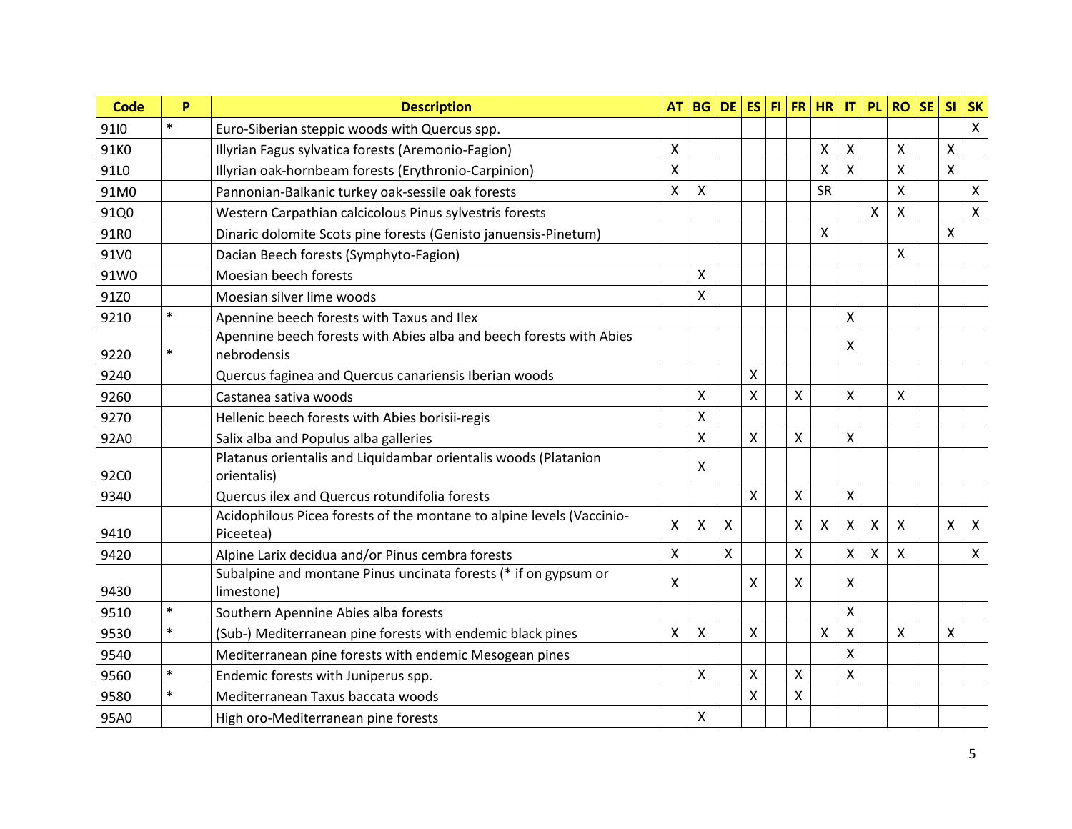| <b>Code</b>      | P      | <b>Description</b>                                                                                       | <b>AT</b>                 | <b>BG</b>                 | $DE$ ES                   |                    |   | $FI$ FR $HR$              | IT | <b>PL</b> | <b>RO</b> | <b>SE</b> | <b>SI</b>                 | <b>SK</b>    |
|------------------|--------|----------------------------------------------------------------------------------------------------------|---------------------------|---------------------------|---------------------------|--------------------|---|---------------------------|----|-----------|-----------|-----------|---------------------------|--------------|
| 9110             | $\ast$ | Euro-Siberian steppic woods with Quercus spp.                                                            |                           |                           |                           |                    |   |                           |    |           |           |           |                           | $\mathsf{X}$ |
| 91K0             |        | Illyrian Fagus sylvatica forests (Aremonio-Fagion)                                                       | $\pmb{\times}$            |                           |                           |                    |   | $\boldsymbol{\mathsf{X}}$ | Χ  |           | Χ         |           | X                         |              |
| 91L0             |        | Illyrian oak-hornbeam forests (Erythronio-Carpinion)                                                     | X                         |                           |                           |                    |   | $\boldsymbol{\mathsf{X}}$ | X  |           | X         |           | $\boldsymbol{\mathsf{X}}$ |              |
| 91M0             |        | Pannonian-Balkanic turkey oak-sessile oak forests                                                        | X                         | X                         |                           |                    |   | <b>SR</b>                 |    |           | X         |           |                           | $\mathsf{X}$ |
| 91Q0             |        | Western Carpathian calcicolous Pinus sylvestris forests                                                  |                           |                           |                           |                    |   |                           |    | X         | Χ         |           |                           | $\mathsf{X}$ |
| 91R0             |        | Dinaric dolomite Scots pine forests (Genisto januensis-Pinetum)                                          |                           |                           |                           |                    |   | $\boldsymbol{\mathsf{X}}$ |    |           |           |           | $\boldsymbol{\mathsf{X}}$ |              |
| 91V0             |        | Dacian Beech forests (Symphyto-Fagion)                                                                   |                           |                           |                           |                    |   |                           |    |           | X         |           |                           |              |
| 91W0             |        | Moesian beech forests                                                                                    |                           | X                         |                           |                    |   |                           |    |           |           |           |                           |              |
| 91Z0             |        | Moesian silver lime woods                                                                                |                           | $\mathsf{x}$              |                           |                    |   |                           |    |           |           |           |                           |              |
| 9210             | $\ast$ | Apennine beech forests with Taxus and Ilex                                                               |                           |                           |                           |                    |   |                           | Χ  |           |           |           |                           |              |
| 9220             | $\ast$ | Apennine beech forests with Abies alba and beech forests with Abies<br>nebrodensis                       |                           |                           |                           |                    |   |                           | X  |           |           |           |                           |              |
| 9240             |        |                                                                                                          |                           |                           |                           | X                  |   |                           |    |           |           |           |                           |              |
| 9260             |        | Quercus faginea and Quercus canariensis Iberian woods<br>Castanea sativa woods                           |                           | X                         |                           | X                  | X |                           | X  |           | X         |           |                           |              |
| 9270             |        |                                                                                                          |                           | X                         |                           |                    |   |                           |    |           |           |           |                           |              |
|                  |        | Hellenic beech forests with Abies borisii-regis                                                          |                           | X                         |                           | X                  | Χ |                           | Χ  |           |           |           |                           |              |
| 92A0             |        | Salix alba and Populus alba galleries<br>Platanus orientalis and Liquidambar orientalis woods (Platanion |                           |                           |                           |                    |   |                           |    |           |           |           |                           |              |
| 92C <sub>0</sub> |        | orientalis)                                                                                              |                           | X                         |                           |                    |   |                           |    |           |           |           |                           |              |
| 9340             |        | Quercus ilex and Quercus rotundifolia forests                                                            |                           |                           |                           | $\pmb{\mathsf{X}}$ | Χ |                           | Χ  |           |           |           |                           |              |
| 9410             |        | Acidophilous Picea forests of the montane to alpine levels (Vaccinio-<br>Piceetea)                       | $\boldsymbol{\mathsf{X}}$ | $\boldsymbol{\mathsf{X}}$ | X                         |                    | X | $\boldsymbol{\mathsf{X}}$ | X  | X         | X         |           | X                         | $\mathsf{X}$ |
| 9420             |        | Alpine Larix decidua and/or Pinus cembra forests                                                         | X                         |                           | $\boldsymbol{\mathsf{X}}$ |                    | Χ |                           | Χ  | X         | Χ         |           |                           | $\mathsf{X}$ |
| 9430             |        | Subalpine and montane Pinus uncinata forests (* if on gypsum or<br>limestone)                            | $\boldsymbol{\mathsf{X}}$ |                           |                           | X                  | X |                           | X  |           |           |           |                           |              |
| 9510             | $\ast$ | Southern Apennine Abies alba forests                                                                     |                           |                           |                           |                    |   |                           | X  |           |           |           |                           |              |
| 9530             | $\ast$ | (Sub-) Mediterranean pine forests with endemic black pines                                               | $\boldsymbol{\mathsf{X}}$ | $\boldsymbol{\mathsf{X}}$ |                           | Χ                  |   | $\boldsymbol{\mathsf{X}}$ | Χ  |           | Χ         |           | X                         |              |
| 9540             |        | Mediterranean pine forests with endemic Mesogean pines                                                   |                           |                           |                           |                    |   |                           | X  |           |           |           |                           |              |
| 9560             | $\ast$ | Endemic forests with Juniperus spp.                                                                      |                           | $\boldsymbol{\mathsf{X}}$ |                           | X                  | Χ |                           | X  |           |           |           |                           |              |
| 9580             | $\ast$ | Mediterranean Taxus baccata woods                                                                        |                           |                           |                           | X                  | X |                           |    |           |           |           |                           |              |
| 95A0             |        | High oro-Mediterranean pine forests                                                                      |                           | $\pmb{\times}$            |                           |                    |   |                           |    |           |           |           |                           |              |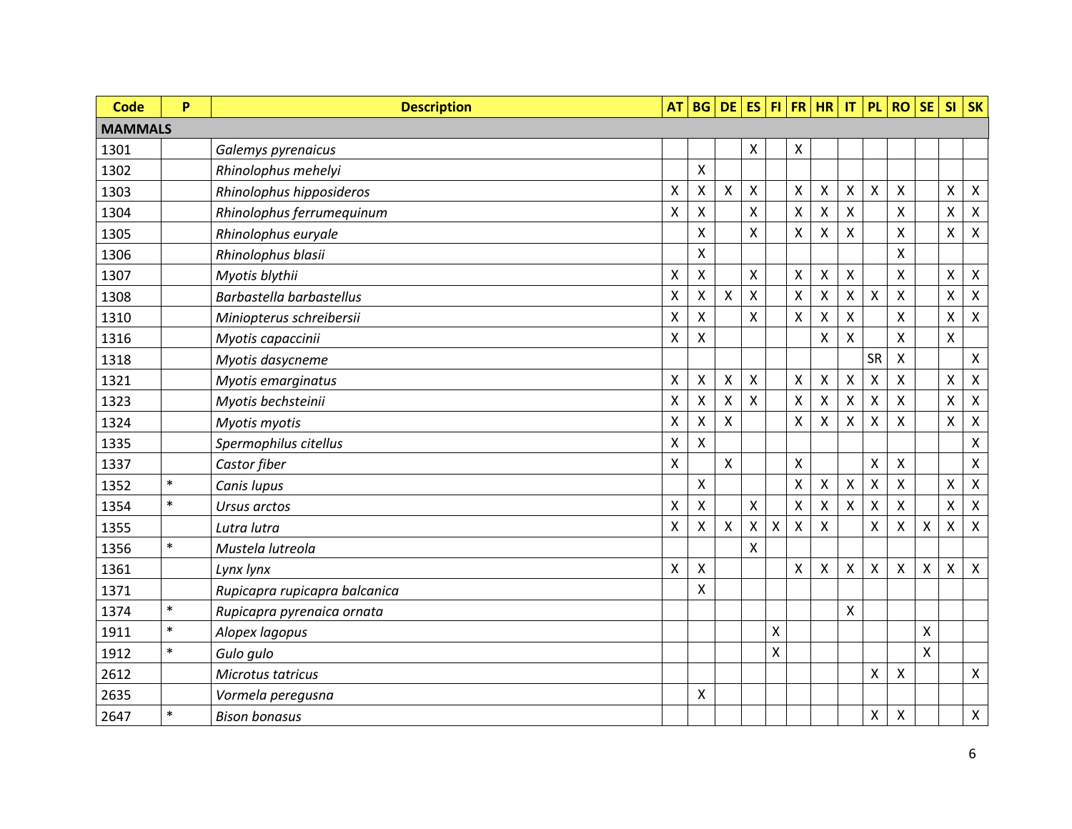| <b>Code</b>    | P      | <b>Description</b>            | <b>AT</b>                 |                           | BG DE ES           |                           |   |                           | $FI$ FR HR   | $\mathsf{I}\mathsf{T}$    | <b>PL</b>                 | <b>RO</b>          | <b>SE</b> | SI                        | <b>SK</b>                 |
|----------------|--------|-------------------------------|---------------------------|---------------------------|--------------------|---------------------------|---|---------------------------|--------------|---------------------------|---------------------------|--------------------|-----------|---------------------------|---------------------------|
| <b>MAMMALS</b> |        |                               |                           |                           |                    |                           |   |                           |              |                           |                           |                    |           |                           |                           |
| 1301           |        | Galemys pyrenaicus            |                           |                           |                    | Χ                         |   | Χ                         |              |                           |                           |                    |           |                           |                           |
| 1302           |        | Rhinolophus mehelyi           |                           | Χ                         |                    |                           |   |                           |              |                           |                           |                    |           |                           |                           |
| 1303           |        | Rhinolophus hipposideros      | Χ                         | Χ                         | X                  | X                         |   | $\boldsymbol{\mathsf{X}}$ | X            | Χ                         | $\boldsymbol{\mathsf{X}}$ | X                  |           | Χ                         | $\pmb{\times}$            |
| 1304           |        | Rhinolophus ferrumequinum     | Χ                         | Χ                         |                    | X                         |   | X                         | X            | Χ                         |                           | X                  |           | Χ                         | $\pmb{\times}$            |
| 1305           |        | Rhinolophus euryale           |                           | Χ                         |                    | $\pmb{\mathsf{X}}$        |   | Χ                         | Χ            | X                         |                           | X                  |           | X                         | $\pmb{\mathsf{X}}$        |
| 1306           |        | Rhinolophus blasii            |                           | Χ                         |                    |                           |   |                           |              |                           |                           | X                  |           |                           |                           |
| 1307           |        | Myotis blythii                | X                         | Χ                         |                    | X                         |   | Χ                         | Χ            | X                         |                           | X                  |           | X                         | $\boldsymbol{\mathsf{X}}$ |
| 1308           |        | Barbastella barbastellus      | $\boldsymbol{\mathsf{X}}$ | Χ                         | $\pmb{\mathsf{X}}$ | $\pmb{\mathsf{X}}$        |   | $\boldsymbol{\mathsf{X}}$ | Χ            | $\pmb{\mathsf{X}}$        | $\mathsf{X}$              | X                  |           | $\boldsymbol{\mathsf{X}}$ | $\boldsymbol{\mathsf{X}}$ |
| 1310           |        | Miniopterus schreibersii      | X                         | Χ                         |                    | X                         |   | Χ                         | X            | Χ                         |                           | X                  |           | X                         | $\pmb{\times}$            |
| 1316           |        | Myotis capaccinii             | $\pmb{\mathsf{X}}$        | X                         |                    |                           |   |                           | X            | X                         |                           | X                  |           | X                         |                           |
| 1318           |        | Myotis dasycneme              |                           |                           |                    |                           |   |                           |              |                           | <b>SR</b>                 | X                  |           |                           | $\pmb{\times}$            |
| 1321           |        | Myotis emarginatus            | $\pmb{\mathsf{X}}$        | X                         | Χ                  | X                         |   | $\boldsymbol{\mathsf{X}}$ | Χ            | $\pmb{\times}$            | $\mathsf{\chi}$           | X                  |           | $\pmb{\mathsf{X}}$        | $\pmb{\times}$            |
| 1323           |        | Myotis bechsteinii            | Χ                         | Χ                         | Χ                  | X                         |   | $\boldsymbol{\mathsf{X}}$ | X            | $\boldsymbol{\mathsf{X}}$ | $\boldsymbol{\mathsf{X}}$ | X                  |           | X                         | $\pmb{\times}$            |
| 1324           |        | Myotis myotis                 | $\pmb{\mathsf{X}}$        | $\pmb{\mathsf{X}}$        | X                  |                           |   | $\boldsymbol{\mathsf{X}}$ | X            | X                         | $\mathsf{X}$              | $\mathsf{X}$       |           | X                         | $\pmb{\times}$            |
| 1335           |        | Spermophilus citellus         | Χ                         | Χ                         |                    |                           |   |                           |              |                           |                           |                    |           |                           | $\pmb{\chi}$              |
| 1337           |        | Castor fiber                  | $\pmb{\mathsf{X}}$        |                           | Χ                  |                           |   | X                         |              |                           | $\boldsymbol{\mathsf{X}}$ | X                  |           |                           | $\pmb{\times}$            |
| 1352           | $\ast$ | Canis lupus                   |                           | $\pmb{\mathsf{X}}$        |                    |                           |   | $\boldsymbol{\mathsf{X}}$ | Χ            | $\pmb{\times}$            | $\boldsymbol{\mathsf{X}}$ | $\pmb{\mathsf{X}}$ |           | X                         | $\pmb{\times}$            |
| 1354           | $\ast$ | Ursus arctos                  | Χ                         | $\boldsymbol{\mathsf{X}}$ |                    | Χ                         |   | $\boldsymbol{\mathsf{X}}$ | $\mathsf{X}$ | $\pmb{\times}$            | $\boldsymbol{\mathsf{X}}$ | X                  |           | Χ                         | $\pmb{\times}$            |
| 1355           |        | Lutra lutra                   | $\pmb{\mathsf{X}}$        | Χ                         | Χ                  | $\boldsymbol{\mathsf{X}}$ | Χ | X                         | X            |                           | $\boldsymbol{\mathsf{X}}$ | X                  | Χ         | X                         | $\mathsf{X}$              |
| 1356           | $\ast$ | Mustela lutreola              |                           |                           |                    | $\pmb{\mathsf{X}}$        |   |                           |              |                           |                           |                    |           |                           |                           |
| 1361           |        | Lynx lynx                     | X                         | $\pmb{\mathsf{X}}$        |                    |                           |   | X                         | Χ            | $\pmb{\times}$            | $\boldsymbol{\mathsf{X}}$ | X                  | X         | $\pmb{\mathsf{X}}$        | $\pmb{\times}$            |
| 1371           |        | Rupicapra rupicapra balcanica |                           | Χ                         |                    |                           |   |                           |              |                           |                           |                    |           |                           |                           |
| 1374           | $\ast$ | Rupicapra pyrenaica ornata    |                           |                           |                    |                           |   |                           |              | X                         |                           |                    |           |                           |                           |
| 1911           | $\ast$ | Alopex lagopus                |                           |                           |                    |                           | Χ |                           |              |                           |                           |                    | Χ         |                           |                           |
| 1912           | $\ast$ | Gulo gulo                     |                           |                           |                    |                           | Χ |                           |              |                           |                           |                    | Χ         |                           |                           |
| 2612           |        | Microtus tatricus             |                           |                           |                    |                           |   |                           |              |                           | X                         | X                  |           |                           | $\pmb{\times}$            |
| 2635           |        | Vormela peregusna             |                           | Χ                         |                    |                           |   |                           |              |                           |                           |                    |           |                           |                           |
| 2647           | $\ast$ | <b>Bison bonasus</b>          |                           |                           |                    |                           |   |                           |              |                           | X                         | X                  |           |                           | $\pmb{\mathsf{X}}$        |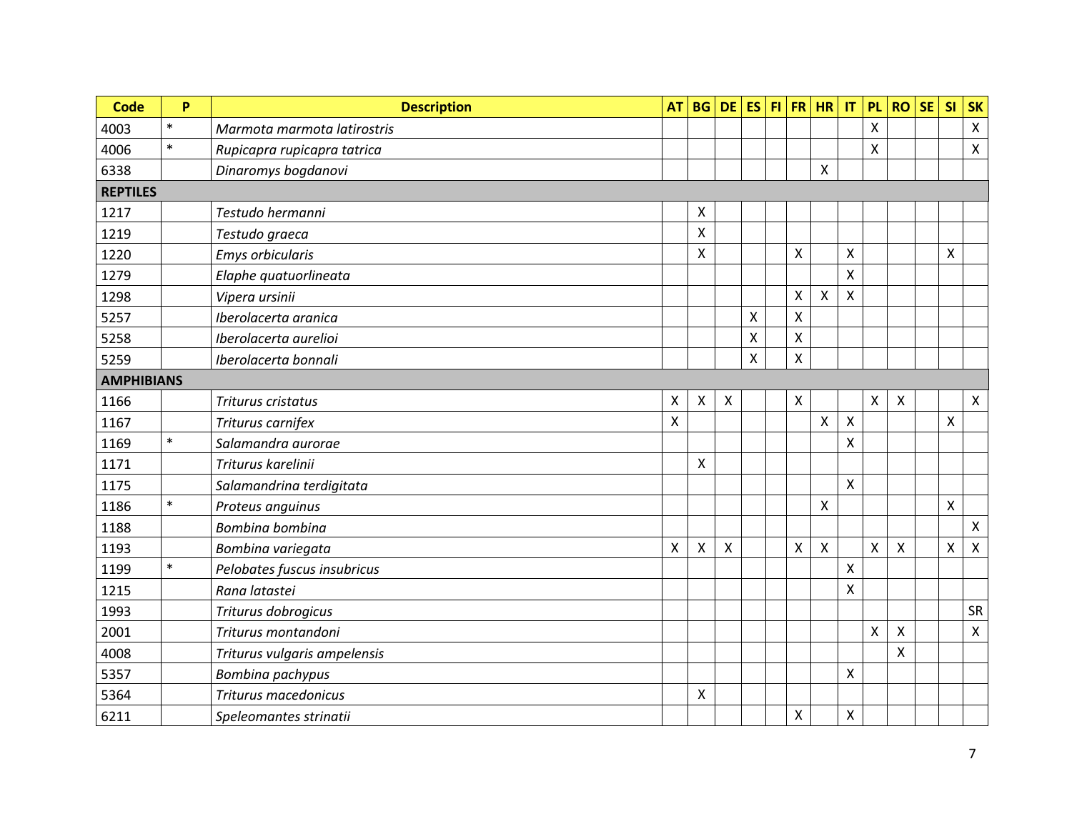| <b>Code</b>       | P      | <b>Description</b>           | <b>AT</b>    | <b>BG</b> | <b>DE</b>      | <b>ES</b> |                           | FI FR HR                  | $\mathsf{I}\mathsf{T}$  | <b>PL</b>                 | <b>RO</b> | <b>SE</b> | SI             | <b>SK</b>      |
|-------------------|--------|------------------------------|--------------|-----------|----------------|-----------|---------------------------|---------------------------|-------------------------|---------------------------|-----------|-----------|----------------|----------------|
| 4003              | $\ast$ | Marmota marmota latirostris  |              |           |                |           |                           |                           |                         | X                         |           |           |                | $\mathsf{X}$   |
| 4006              | $\ast$ | Rupicapra rupicapra tatrica  |              |           |                |           |                           |                           |                         | $\boldsymbol{\mathsf{X}}$ |           |           |                | $\pmb{\times}$ |
| 6338              |        | Dinaromys bogdanovi          |              |           |                |           |                           | $\mathsf{x}$              |                         |                           |           |           |                |                |
| <b>REPTILES</b>   |        |                              |              |           |                |           |                           |                           |                         |                           |           |           |                |                |
| 1217              |        | Testudo hermanni             |              | X         |                |           |                           |                           |                         |                           |           |           |                |                |
| 1219              |        | Testudo graeca               |              | X         |                |           |                           |                           |                         |                           |           |           |                |                |
| 1220              |        | Emys orbicularis             |              | X         |                |           | $\mathsf{\chi}$           |                           | X                       |                           |           |           | X              |                |
| 1279              |        | Elaphe quatuorlineata        |              |           |                |           |                           |                           | X                       |                           |           |           |                |                |
| 1298              |        | Vipera ursinii               |              |           |                |           | $\boldsymbol{\mathsf{X}}$ | $\mathsf{X}$              | X                       |                           |           |           |                |                |
| 5257              |        | Iberolacerta aranica         |              |           |                | Χ         | $\pmb{\mathsf{X}}$        |                           |                         |                           |           |           |                |                |
| 5258              |        | Iberolacerta aurelioi        |              |           |                | X         | $\pmb{\mathsf{X}}$        |                           |                         |                           |           |           |                |                |
| 5259              |        | Iberolacerta bonnali         |              |           |                | X         | X                         |                           |                         |                           |           |           |                |                |
| <b>AMPHIBIANS</b> |        |                              |              |           |                |           |                           |                           |                         |                           |           |           |                |                |
| 1166              |        | Triturus cristatus           | Χ            | X         | $\pmb{\times}$ |           | $\pmb{\times}$            |                           |                         | Χ                         | Χ         |           |                | $\mathsf{X}$   |
| 1167              |        | Triturus carnifex            | $\mathsf{X}$ |           |                |           |                           | $\mathsf{x}$              | $\mathsf{\overline{X}}$ |                           |           |           | $\pmb{\times}$ |                |
| 1169              | $\ast$ | Salamandra aurorae           |              |           |                |           |                           |                           | X                       |                           |           |           |                |                |
| 1171              |        | Triturus karelinii           |              | X         |                |           |                           |                           |                         |                           |           |           |                |                |
| 1175              |        | Salamandrina terdigitata     |              |           |                |           |                           |                           | X                       |                           |           |           |                |                |
| 1186              | $\ast$ | Proteus anguinus             |              |           |                |           |                           | $\mathsf{X}$              |                         |                           |           |           | $\mathsf{x}$   |                |
| 1188              |        | Bombina bombina              |              |           |                |           |                           |                           |                         |                           |           |           |                | $\mathsf{X}$   |
| 1193              |        | Bombina variegata            | X            | X         | $\pmb{\times}$ |           | $\pmb{\mathsf{X}}$        | $\boldsymbol{\mathsf{X}}$ |                         | X                         | Χ         |           | X              | $\mathsf{X}$   |
| 1199              | $\ast$ | Pelobates fuscus insubricus  |              |           |                |           |                           |                           | X                       |                           |           |           |                |                |
| 1215              |        | Rana latastei                |              |           |                |           |                           |                           | X                       |                           |           |           |                |                |
| 1993              |        | Triturus dobrogicus          |              |           |                |           |                           |                           |                         |                           |           |           |                | <b>SR</b>      |
| 2001              |        | Triturus montandoni          |              |           |                |           |                           |                           |                         | X                         | Χ         |           |                | $\mathsf{X}$   |
| 4008              |        | Triturus vulgaris ampelensis |              |           |                |           |                           |                           |                         |                           | X         |           |                |                |
| 5357              |        | Bombina pachypus             |              |           |                |           |                           |                           | Χ                       |                           |           |           |                |                |
| 5364              |        | Triturus macedonicus         |              | X         |                |           |                           |                           |                         |                           |           |           |                |                |
| 6211              |        | Speleomantes strinatii       |              |           |                |           | $\pmb{\mathsf{X}}$        |                           | Χ                       |                           |           |           |                |                |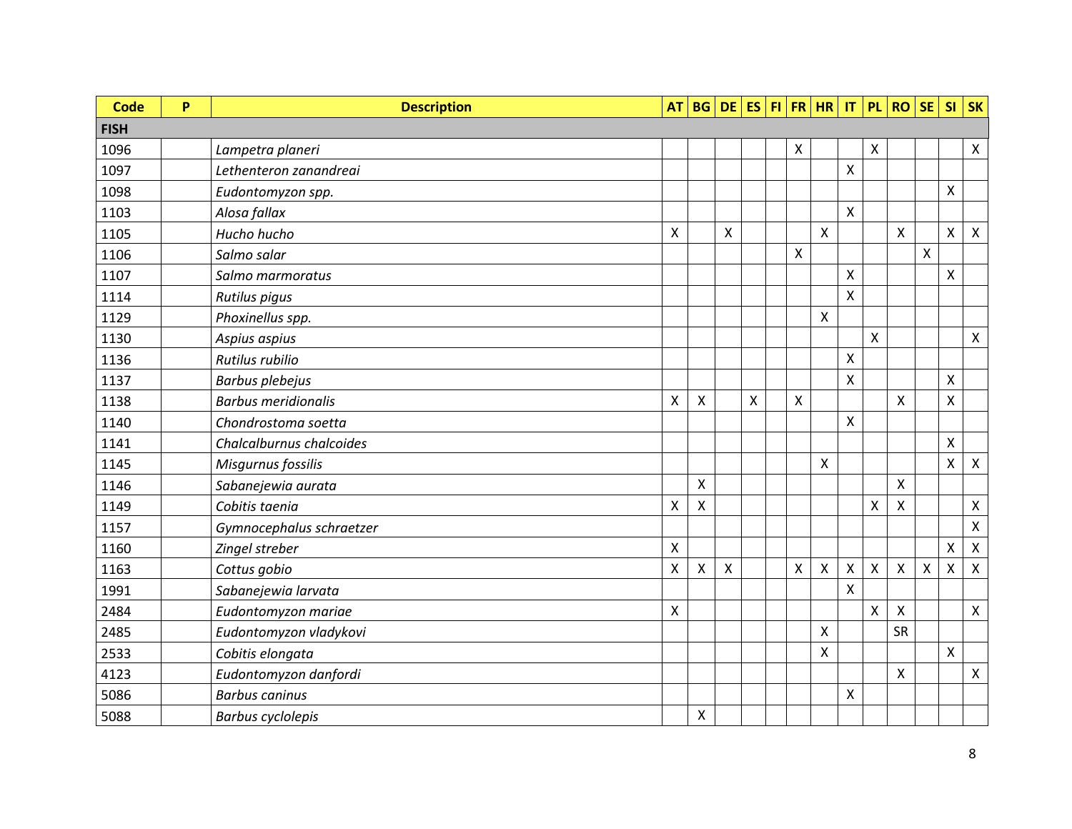| <b>Code</b> | P | <b>Description</b>         | AT                 |   |                    | BG DE ES FI FR HR IT |                           |                    |                    |   | PL ROSE                   |              | $SI$ SK                   |                           |
|-------------|---|----------------------------|--------------------|---|--------------------|----------------------|---------------------------|--------------------|--------------------|---|---------------------------|--------------|---------------------------|---------------------------|
| <b>FISH</b> |   |                            |                    |   |                    |                      |                           |                    |                    |   |                           |              |                           |                           |
| 1096        |   | Lampetra planeri           |                    |   |                    |                      | $\boldsymbol{\mathsf{X}}$ |                    |                    | X |                           |              |                           | $\pmb{\times}$            |
| 1097        |   | Lethenteron zanandreai     |                    |   |                    |                      |                           |                    | X                  |   |                           |              |                           |                           |
| 1098        |   | Eudontomyzon spp.          |                    |   |                    |                      |                           |                    |                    |   |                           |              | $\pmb{\mathsf{X}}$        |                           |
| 1103        |   | Alosa fallax               |                    |   |                    |                      |                           |                    | X                  |   |                           |              |                           |                           |
| 1105        |   | Hucho hucho                | X                  |   | X                  |                      |                           | X                  |                    |   | X                         |              | $\boldsymbol{\mathsf{X}}$ | $\boldsymbol{\mathsf{X}}$ |
| 1106        |   | Salmo salar                |                    |   |                    |                      | $\boldsymbol{\mathsf{X}}$ |                    |                    |   |                           | $\pmb{\chi}$ |                           |                           |
| 1107        |   | Salmo marmoratus           |                    |   |                    |                      |                           |                    | X                  |   |                           |              | X                         |                           |
| 1114        |   | Rutilus pigus              |                    |   |                    |                      |                           |                    | X                  |   |                           |              |                           |                           |
| 1129        |   | Phoxinellus spp.           |                    |   |                    |                      |                           | X                  |                    |   |                           |              |                           |                           |
| 1130        |   | Aspius aspius              |                    |   |                    |                      |                           |                    |                    | X |                           |              |                           | $\boldsymbol{\mathsf{X}}$ |
| 1136        |   | Rutilus rubilio            |                    |   |                    |                      |                           |                    | X                  |   |                           |              |                           |                           |
| 1137        |   | <b>Barbus plebejus</b>     |                    |   |                    |                      |                           |                    | $\pmb{\mathsf{X}}$ |   |                           |              | $\pmb{\mathsf{X}}$        |                           |
| 1138        |   | <b>Barbus meridionalis</b> | $\mathsf{X}$       | X |                    | X                    | $\pmb{\times}$            |                    |                    |   | $\mathsf{X}$              |              | $\pmb{\times}$            |                           |
| 1140        |   | Chondrostoma soetta        |                    |   |                    |                      |                           |                    | X                  |   |                           |              |                           |                           |
| 1141        |   | Chalcalburnus chalcoides   |                    |   |                    |                      |                           |                    |                    |   |                           |              | $\boldsymbol{\mathsf{X}}$ |                           |
| 1145        |   | Misgurnus fossilis         |                    |   |                    |                      |                           | X                  |                    |   |                           |              | $\pmb{\times}$            | $\pmb{\times}$            |
| 1146        |   | Sabanejewia aurata         |                    | X |                    |                      |                           |                    |                    |   | $\boldsymbol{\mathsf{X}}$ |              |                           |                           |
| 1149        |   | Cobitis taenia             | $\pmb{\mathsf{X}}$ | X |                    |                      |                           |                    |                    | Χ | $\pmb{\chi}$              |              |                           | $\pmb{\times}$            |
| 1157        |   | Gymnocephalus schraetzer   |                    |   |                    |                      |                           |                    |                    |   |                           |              |                           | $\pmb{\mathsf{X}}$        |
| 1160        |   | Zingel streber             | X                  |   |                    |                      |                           |                    |                    |   |                           |              | $\boldsymbol{\mathsf{X}}$ | $\pmb{\times}$            |
| 1163        |   | Cottus gobio               | $\pmb{\mathsf{X}}$ | Χ | $\pmb{\mathsf{X}}$ |                      | $\pmb{\mathsf{X}}$        | $\pmb{\mathsf{X}}$ | $\pmb{\mathsf{X}}$ | X | $\pmb{\chi}$              | $\pmb{\chi}$ | X                         | $\pmb{\chi}$              |
| 1991        |   | Sabanejewia larvata        |                    |   |                    |                      |                           |                    | X                  |   |                           |              |                           |                           |
| 2484        |   | Eudontomyzon mariae        | $\pmb{\mathsf{X}}$ |   |                    |                      |                           |                    |                    | X | $\mathsf{X}$              |              |                           | $\pmb{\chi}$              |
| 2485        |   | Eudontomyzon vladykovi     |                    |   |                    |                      |                           | X                  |                    |   | <b>SR</b>                 |              |                           |                           |
| 2533        |   | Cobitis elongata           |                    |   |                    |                      |                           | X                  |                    |   |                           |              | $\pmb{\mathsf{X}}$        |                           |
| 4123        |   | Eudontomyzon danfordi      |                    |   |                    |                      |                           |                    |                    |   | X                         |              |                           | $\pmb{\times}$            |
| 5086        |   | <b>Barbus caninus</b>      |                    |   |                    |                      |                           |                    | X                  |   |                           |              |                           |                           |
| 5088        |   | <b>Barbus cyclolepis</b>   |                    | Χ |                    |                      |                           |                    |                    |   |                           |              |                           |                           |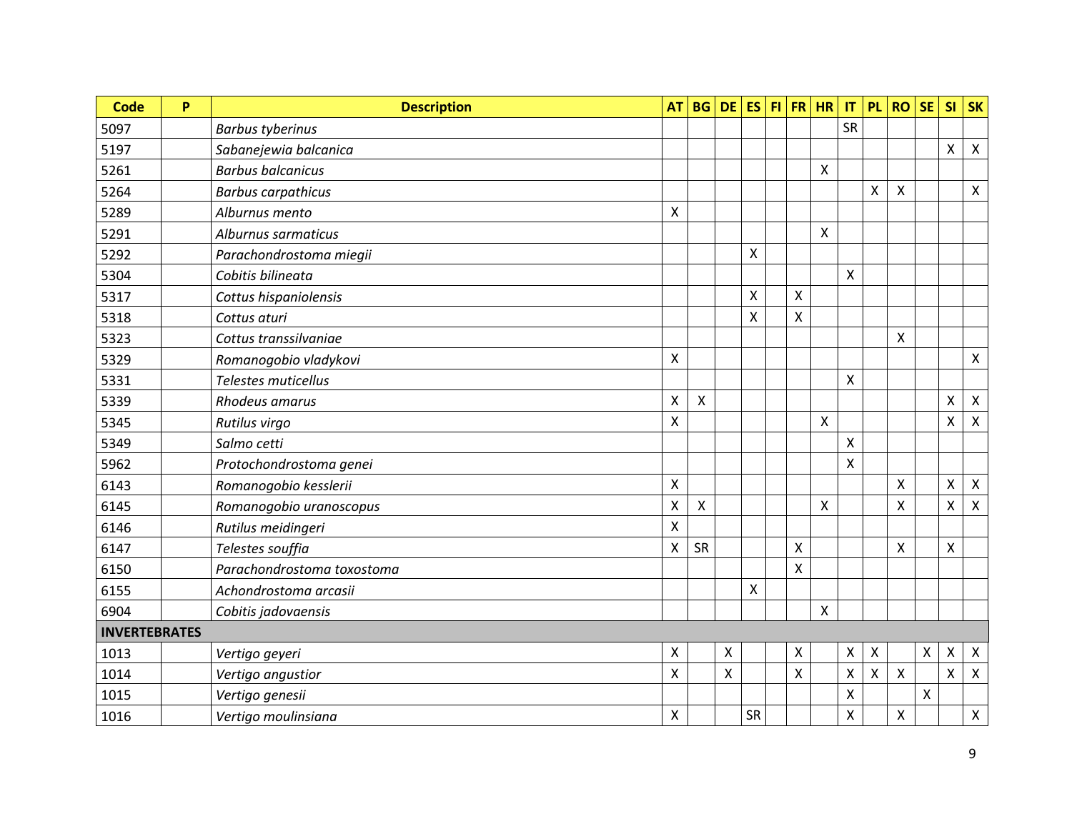| <b>Code</b>          | P | <b>Description</b>         | <b>AT</b>                 | <b>BG</b> |   | $DE$ ES |                           | $H $ FR $H$               | $\mathsf{I}\mathsf{T}$ | <b>PL</b>          | <b>RO</b>          | <b>SE</b>                 | <b>SI</b>                 | <b>SK</b>        |
|----------------------|---|----------------------------|---------------------------|-----------|---|---------|---------------------------|---------------------------|------------------------|--------------------|--------------------|---------------------------|---------------------------|------------------|
| 5097                 |   | <b>Barbus tyberinus</b>    |                           |           |   |         |                           |                           | <b>SR</b>              |                    |                    |                           |                           |                  |
| 5197                 |   | Sabanejewia balcanica      |                           |           |   |         |                           |                           |                        |                    |                    |                           | Χ                         | $\boldsymbol{X}$ |
| 5261                 |   | <b>Barbus balcanicus</b>   |                           |           |   |         |                           | $\boldsymbol{\mathsf{X}}$ |                        |                    |                    |                           |                           |                  |
| 5264                 |   | <b>Barbus carpathicus</b>  |                           |           |   |         |                           |                           |                        | Χ                  | Χ                  |                           |                           | X                |
| 5289                 |   | Alburnus mento             | X                         |           |   |         |                           |                           |                        |                    |                    |                           |                           |                  |
| 5291                 |   | Alburnus sarmaticus        |                           |           |   |         |                           | $\pmb{\times}$            |                        |                    |                    |                           |                           |                  |
| 5292                 |   | Parachondrostoma miegii    |                           |           |   | X       |                           |                           |                        |                    |                    |                           |                           |                  |
| 5304                 |   | Cobitis bilineata          |                           |           |   |         |                           |                           | X                      |                    |                    |                           |                           |                  |
| 5317                 |   | Cottus hispaniolensis      |                           |           |   | Χ       | X                         |                           |                        |                    |                    |                           |                           |                  |
| 5318                 |   | Cottus aturi               |                           |           |   | X       | Χ                         |                           |                        |                    |                    |                           |                           |                  |
| 5323                 |   | Cottus transsilvaniae      |                           |           |   |         |                           |                           |                        |                    | X                  |                           |                           |                  |
| 5329                 |   | Romanogobio vladykovi      | X                         |           |   |         |                           |                           |                        |                    |                    |                           |                           | $\mathsf{X}$     |
| 5331                 |   | Telestes muticellus        |                           |           |   |         |                           |                           | Χ                      |                    |                    |                           |                           |                  |
| 5339                 |   | Rhodeus amarus             | X                         | X         |   |         |                           |                           |                        |                    |                    |                           | Χ                         | $\mathsf{X}$     |
| 5345                 |   | Rutilus virgo              | Χ                         |           |   |         |                           | $\boldsymbol{\mathsf{X}}$ |                        |                    |                    |                           | $\boldsymbol{\mathsf{X}}$ | $\mathsf{X}$     |
| 5349                 |   | Salmo cetti                |                           |           |   |         |                           |                           | X                      |                    |                    |                           |                           |                  |
| 5962                 |   | Protochondrostoma genei    |                           |           |   |         |                           |                           | X                      |                    |                    |                           |                           |                  |
| 6143                 |   | Romanogobio kesslerii      | $\pmb{\times}$            |           |   |         |                           |                           |                        |                    | X                  |                           | X                         | $\mathsf{X}$     |
| 6145                 |   | Romanogobio uranoscopus    | Χ                         | X         |   |         |                           | $\boldsymbol{\mathsf{X}}$ |                        |                    | Χ                  |                           | X                         | $\mathsf{X}$     |
| 6146                 |   | Rutilus meidingeri         | Χ                         |           |   |         |                           |                           |                        |                    |                    |                           |                           |                  |
| 6147                 |   | Telestes souffia           | $\boldsymbol{\mathsf{X}}$ | SR        |   |         | $\boldsymbol{\mathsf{X}}$ |                           |                        |                    | X                  |                           | $\pmb{\times}$            |                  |
| 6150                 |   | Parachondrostoma toxostoma |                           |           |   |         | $\boldsymbol{\mathsf{X}}$ |                           |                        |                    |                    |                           |                           |                  |
| 6155                 |   | Achondrostoma arcasii      |                           |           |   | X       |                           |                           |                        |                    |                    |                           |                           |                  |
| 6904                 |   | Cobitis jadovaensis        |                           |           |   |         |                           | $\pmb{\times}$            |                        |                    |                    |                           |                           |                  |
| <b>INVERTEBRATES</b> |   |                            |                           |           |   |         |                           |                           |                        |                    |                    |                           |                           |                  |
| 1013                 |   | Vertigo geyeri             | $\boldsymbol{\mathsf{X}}$ |           | X |         | $\pmb{\mathsf{X}}$        |                           | Χ                      | Χ                  |                    | $\boldsymbol{\mathsf{X}}$ | Χ                         | $\mathsf{X}$     |
| 1014                 |   | Vertigo angustior          | X                         |           | X |         | $\mathsf{X}$              |                           | Χ                      | $\pmb{\mathsf{X}}$ | X                  |                           | $\pmb{\times}$            | $\mathsf{X}$     |
| 1015                 |   | Vertigo genesii            |                           |           |   |         |                           |                           | X                      |                    |                    | $\mathsf{\chi}$           |                           |                  |
| 1016                 |   | Vertigo moulinsiana        | X                         |           |   | SR      |                           |                           | X                      |                    | $\pmb{\mathsf{X}}$ |                           |                           | $\mathsf{X}$     |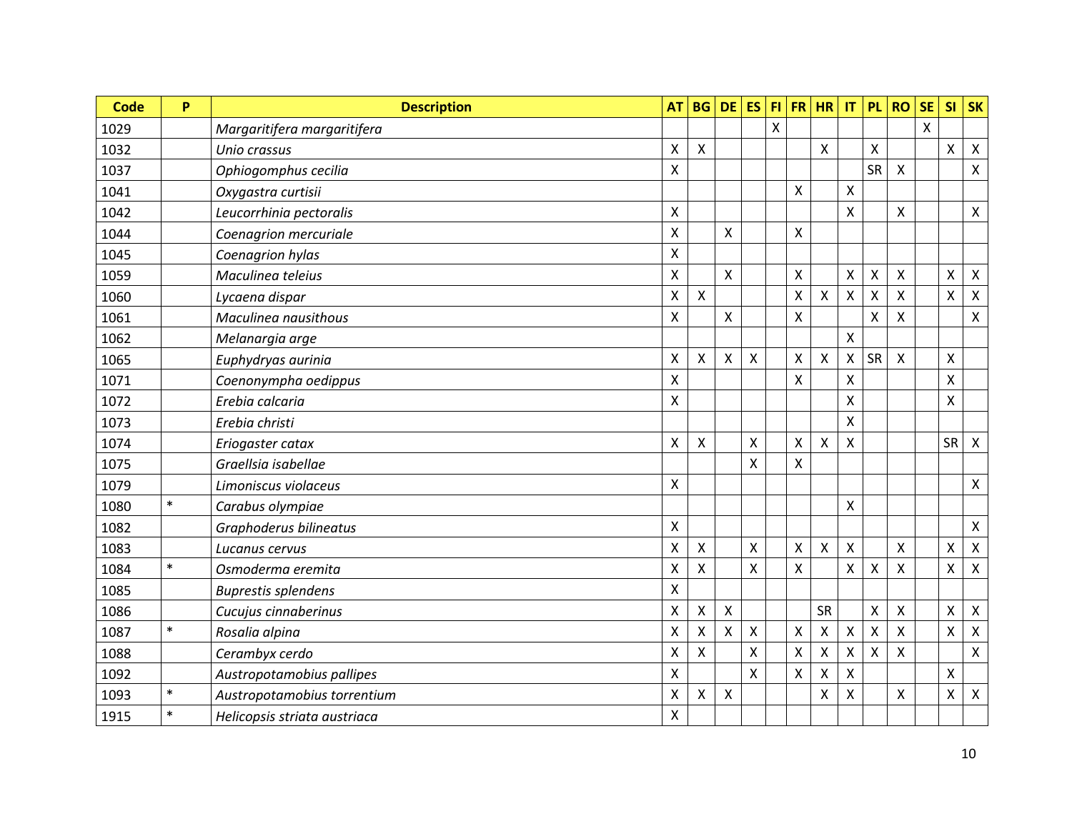| <b>Code</b> | P      | <b>Description</b>           | <b>AT</b>          | <b>BG</b>                 | <b>DE</b>                 | <b>ES</b>    | F1                        | <b>FR</b>    | <b>HR</b>                 | IT | PL                        | <b>RO</b> | <b>SE</b>                 | <b>SI</b>                 | <b>SK</b>                 |
|-------------|--------|------------------------------|--------------------|---------------------------|---------------------------|--------------|---------------------------|--------------|---------------------------|----|---------------------------|-----------|---------------------------|---------------------------|---------------------------|
| 1029        |        | Margaritifera margaritifera  |                    |                           |                           |              | $\boldsymbol{\mathsf{X}}$ |              |                           |    |                           |           | $\boldsymbol{\mathsf{X}}$ |                           |                           |
| 1032        |        | Unio crassus                 | X                  | X                         |                           |              |                           |              | $\boldsymbol{\mathsf{X}}$ |    | X                         |           |                           | X                         | $\mathsf{X}$              |
| 1037        |        | Ophiogomphus cecilia         | $\mathsf{X}$       |                           |                           |              |                           |              |                           |    | <b>SR</b>                 | X         |                           |                           | $\pmb{\times}$            |
| 1041        |        | Oxygastra curtisii           |                    |                           |                           |              |                           | Χ            |                           | Χ  |                           |           |                           |                           |                           |
| 1042        |        | Leucorrhinia pectoralis      | $\pmb{\times}$     |                           |                           |              |                           |              |                           | X  |                           | X         |                           |                           | $\mathsf{X}$              |
| 1044        |        | Coenagrion mercuriale        | $\mathsf{X}$       |                           | X                         |              |                           | X            |                           |    |                           |           |                           |                           |                           |
| 1045        |        | Coenagrion hylas             | $\mathsf{X}$       |                           |                           |              |                           |              |                           |    |                           |           |                           |                           |                           |
| 1059        |        | Maculinea teleius            | $\pmb{\times}$     |                           | X                         |              |                           | X            |                           | X  | Χ                         | Χ         |                           | Χ                         | $\boldsymbol{\mathsf{X}}$ |
| 1060        |        | Lycaena dispar               | $\mathsf{X}$       | X                         |                           |              |                           | X            | $\pmb{\times}$            | X  | $\mathsf{\chi}$           | Χ         |                           | $\mathsf{X}$              | $\pmb{\times}$            |
| 1061        |        | Maculinea nausithous         | $\pmb{\times}$     |                           | X                         |              |                           | X            |                           |    | X                         | Χ         |                           |                           | $\pmb{\times}$            |
| 1062        |        | Melanargia arge              |                    |                           |                           |              |                           |              |                           | X  |                           |           |                           |                           |                           |
| 1065        |        | Euphydryas aurinia           | $\mathsf{X}$       | X                         | $\boldsymbol{\mathsf{X}}$ | $\mathsf{X}$ |                           | X            | $\boldsymbol{\mathsf{X}}$ | X  | <b>SR</b>                 | X         |                           | $\boldsymbol{\mathsf{X}}$ |                           |
| 1071        |        | Coenonympha oedippus         | $\mathsf{X}$       |                           |                           |              |                           | $\mathsf{X}$ |                           | X  |                           |           |                           | $\boldsymbol{\mathsf{X}}$ |                           |
| 1072        |        | Erebia calcaria              | $\pmb{\mathsf{X}}$ |                           |                           |              |                           |              |                           | X  |                           |           |                           | $\pmb{\times}$            |                           |
| 1073        |        | Erebia christi               |                    |                           |                           |              |                           |              |                           | X  |                           |           |                           |                           |                           |
| 1074        |        | Eriogaster catax             | $\mathsf{X}$       | $\sf X$                   |                           | X            |                           | X            | $\boldsymbol{\mathsf{X}}$ | X  |                           |           |                           | <b>SR</b>                 | $\mathsf{X}$              |
| 1075        |        | Graellsia isabellae          |                    |                           |                           | Χ            |                           | Χ            |                           |    |                           |           |                           |                           |                           |
| 1079        |        | Limoniscus violaceus         | $\pmb{\times}$     |                           |                           |              |                           |              |                           |    |                           |           |                           |                           | $\mathsf{X}$              |
| 1080        | $\ast$ | Carabus olympiae             |                    |                           |                           |              |                           |              |                           | X  |                           |           |                           |                           |                           |
| 1082        |        | Graphoderus bilineatus       | $\pmb{\mathsf{X}}$ |                           |                           |              |                           |              |                           |    |                           |           |                           |                           | $\mathsf{X}$              |
| 1083        |        | Lucanus cervus               | X                  | X                         |                           | Χ            |                           | Χ            | $\boldsymbol{\mathsf{X}}$ | Χ  |                           | Χ         |                           | X                         | $\pmb{\mathsf{X}}$        |
| 1084        | $\ast$ | Osmoderma eremita            | X                  | X                         |                           | X            |                           | X            |                           | Χ  | X                         | X         |                           | X                         | $\pmb{\times}$            |
| 1085        |        | <b>Buprestis splendens</b>   | X                  |                           |                           |              |                           |              |                           |    |                           |           |                           |                           |                           |
| 1086        |        | Cucujus cinnaberinus         | X                  | X                         | $\pmb{\times}$            |              |                           |              | <b>SR</b>                 |    | $\boldsymbol{\mathsf{X}}$ | Χ         |                           | X                         | $\pmb{\times}$            |
| 1087        | $\ast$ | Rosalia alpina               | X                  | $\boldsymbol{\mathsf{X}}$ | $\mathsf{x}$              | Χ            |                           | X            | $\pmb{\times}$            | Χ  | $\mathsf{\chi}$           | X         |                           | $\mathsf{X}$              | $\mathsf{X}$              |
| 1088        |        | Cerambyx cerdo               | X                  | X                         |                           | Χ            |                           | Χ            | $\pmb{\times}$            | Χ  | X                         | Χ         |                           |                           | $\boldsymbol{\mathsf{X}}$ |
| 1092        |        | Austropotamobius pallipes    | X                  |                           |                           | X            |                           | X            | $\pmb{\times}$            | X  |                           |           |                           | X                         |                           |
| 1093        | $\ast$ | Austropotamobius torrentium  | X                  | X                         | X                         |              |                           |              | X                         | X  |                           | X         |                           | Χ                         | $\pmb{\times}$            |
| 1915        | $\ast$ | Helicopsis striata austriaca | X                  |                           |                           |              |                           |              |                           |    |                           |           |                           |                           |                           |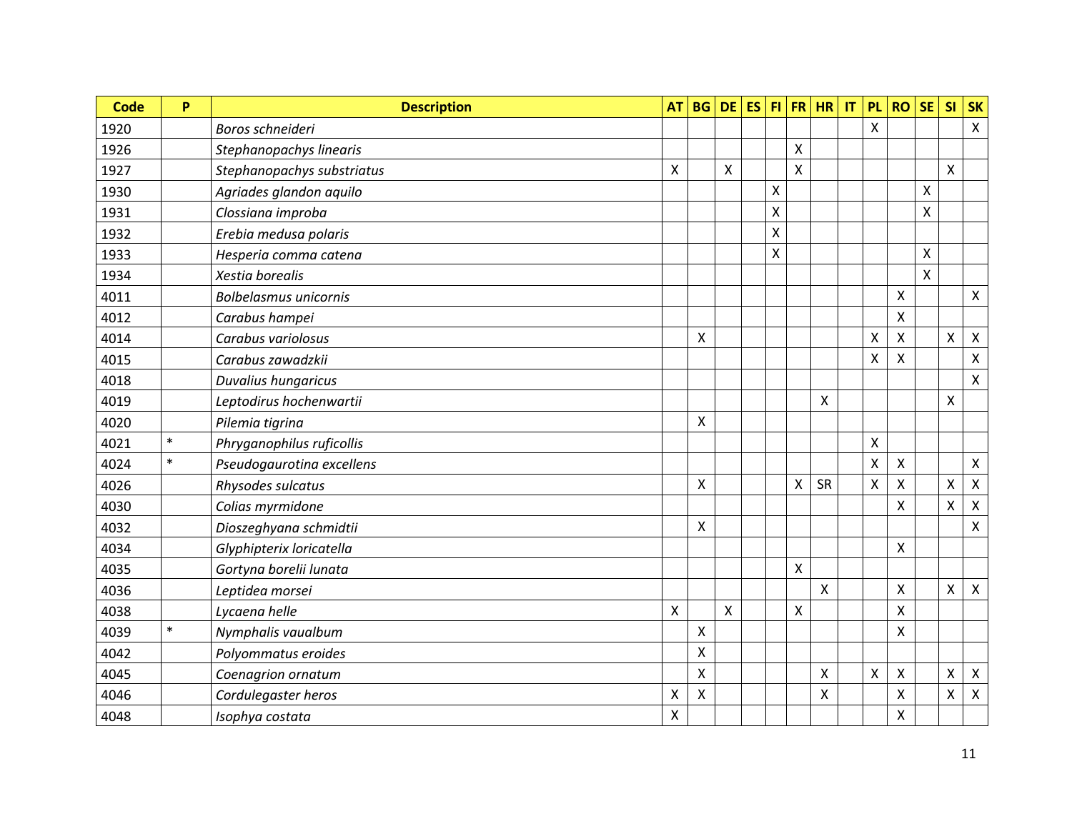| <b>Code</b> | P      | <b>Description</b>           | <b>AT</b>                 | <b>BG</b>    | <b>DE</b> | <b>ES</b> |                |                           | $FI$ $FR$ $HR$            | $\mathsf{I}\mathsf{T}$ | <b>PL</b>                 | <b>RO</b>      | <b>SE</b>       | <b>SI</b>          | <b>SK</b>          |
|-------------|--------|------------------------------|---------------------------|--------------|-----------|-----------|----------------|---------------------------|---------------------------|------------------------|---------------------------|----------------|-----------------|--------------------|--------------------|
| 1920        |        | Boros schneideri             |                           |              |           |           |                |                           |                           |                        | X                         |                |                 |                    | $\mathsf{X}$       |
| 1926        |        | Stephanopachys linearis      |                           |              |           |           |                | X                         |                           |                        |                           |                |                 |                    |                    |
| 1927        |        | Stephanopachys substriatus   | $\mathsf{X}$              |              | X         |           |                | $\mathsf{X}$              |                           |                        |                           |                |                 | $\pmb{\mathsf{X}}$ |                    |
| 1930        |        | Agriades glandon aquilo      |                           |              |           |           | X              |                           |                           |                        |                           |                | X               |                    |                    |
| 1931        |        | Clossiana improba            |                           |              |           |           | $\pmb{\times}$ |                           |                           |                        |                           |                | $\mathsf{\chi}$ |                    |                    |
| 1932        |        | Erebia medusa polaris        |                           |              |           |           | X              |                           |                           |                        |                           |                |                 |                    |                    |
| 1933        |        | Hesperia comma catena        |                           |              |           |           | X              |                           |                           |                        |                           |                | X               |                    |                    |
| 1934        |        | Xestia borealis              |                           |              |           |           |                |                           |                           |                        |                           |                | $\mathsf{\chi}$ |                    |                    |
| 4011        |        | <b>Bolbelasmus unicornis</b> |                           |              |           |           |                |                           |                           |                        |                           | X              |                 |                    | $\mathsf{X}$       |
| 4012        |        | Carabus hampei               |                           |              |           |           |                |                           |                           |                        |                           | $\pmb{\times}$ |                 |                    |                    |
| 4014        |        | Carabus variolosus           |                           | X            |           |           |                |                           |                           |                        | $\boldsymbol{\mathsf{X}}$ | X              |                 | X                  | $\mathsf{X}$       |
| 4015        |        | Carabus zawadzkii            |                           |              |           |           |                |                           |                           |                        | X                         | X              |                 |                    | $\pmb{\times}$     |
| 4018        |        | Duvalius hungaricus          |                           |              |           |           |                |                           |                           |                        |                           |                |                 |                    | $\mathsf{X}$       |
| 4019        |        | Leptodirus hochenwartii      |                           |              |           |           |                |                           | $\pmb{\times}$            |                        |                           |                |                 | $\pmb{\times}$     |                    |
| 4020        |        | Pilemia tigrina              |                           | $\mathsf{X}$ |           |           |                |                           |                           |                        |                           |                |                 |                    |                    |
| 4021        | $\ast$ | Phryganophilus ruficollis    |                           |              |           |           |                |                           |                           |                        | $\boldsymbol{\mathsf{X}}$ |                |                 |                    |                    |
| 4024        | $\ast$ | Pseudogaurotina excellens    |                           |              |           |           |                |                           |                           |                        | $\mathsf{\chi}$           | Χ              |                 |                    | $\mathsf{X}$       |
| 4026        |        | Rhysodes sulcatus            |                           | $\mathsf{X}$ |           |           |                | X                         | <b>SR</b>                 |                        | X                         | X              |                 | $\mathsf{X}$       | $\pmb{\times}$     |
| 4030        |        | Colias myrmidone             |                           |              |           |           |                |                           |                           |                        |                           | Χ              |                 | $\mathsf{X}$       | $\pmb{\times}$     |
| 4032        |        | Dioszeghyana schmidtii       |                           | $\mathsf{X}$ |           |           |                |                           |                           |                        |                           |                |                 |                    | $\pmb{\mathsf{X}}$ |
| 4034        |        | Glyphipterix loricatella     |                           |              |           |           |                |                           |                           |                        |                           | X              |                 |                    |                    |
| 4035        |        | Gortyna borelii lunata       |                           |              |           |           |                | Χ                         |                           |                        |                           |                |                 |                    |                    |
| 4036        |        | Leptidea morsei              |                           |              |           |           |                |                           | $\boldsymbol{\mathsf{X}}$ |                        |                           | Χ              |                 | Χ                  | $\mathsf{X}$       |
| 4038        |        | Lycaena helle                | $\boldsymbol{\mathsf{X}}$ |              | X         |           |                | $\boldsymbol{\mathsf{X}}$ |                           |                        |                           | X              |                 |                    |                    |
| 4039        | $\ast$ | Nymphalis vaualbum           |                           | X            |           |           |                |                           |                           |                        |                           | Χ              |                 |                    |                    |
| 4042        |        | Polyommatus eroides          |                           | X            |           |           |                |                           |                           |                        |                           |                |                 |                    |                    |
| 4045        |        | Coenagrion ornatum           |                           | X            |           |           |                |                           | $\boldsymbol{\mathsf{X}}$ |                        | X                         | Χ              |                 | X                  | $\mathsf{X}$       |
| 4046        |        | Cordulegaster heros          | X                         | X            |           |           |                |                           | X                         |                        |                           | X              |                 | Χ                  | $\pmb{\times}$     |
| 4048        |        | Isophya costata              | $\pmb{\times}$            |              |           |           |                |                           |                           |                        |                           | Χ              |                 |                    |                    |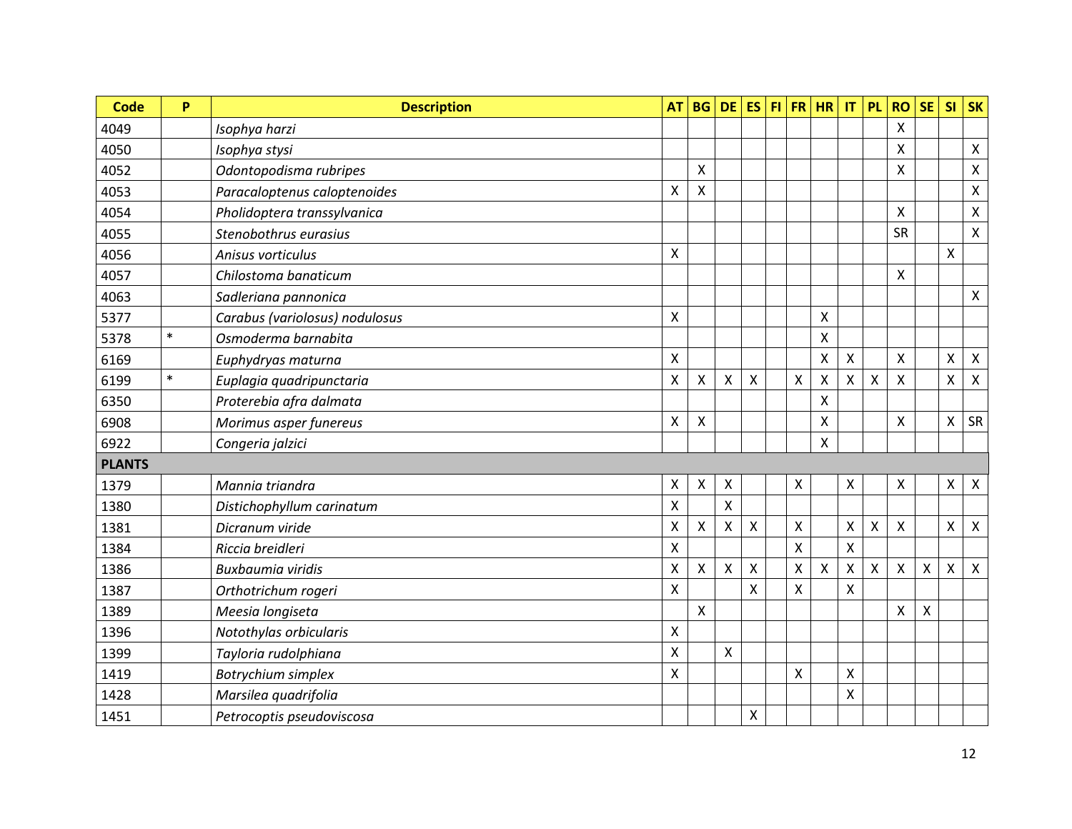| <b>Code</b>   | P      | <b>Description</b>             | <b>AT</b>          | <b>BG</b>          | <b>DE</b>      | <b>ES</b>                 |                | FI FR HR       | $\mathsf{I}\mathsf{T}$ | <b>PL</b> | <b>RO</b>    | <b>SE</b>    | SI                 | <b>SK</b>                 |
|---------------|--------|--------------------------------|--------------------|--------------------|----------------|---------------------------|----------------|----------------|------------------------|-----------|--------------|--------------|--------------------|---------------------------|
| 4049          |        | Isophya harzi                  |                    |                    |                |                           |                |                |                        |           | $\mathsf{X}$ |              |                    |                           |
| 4050          |        | Isophya stysi                  |                    |                    |                |                           |                |                |                        |           | Χ            |              |                    | Χ                         |
| 4052          |        | Odontopodisma rubripes         |                    | X                  |                |                           |                |                |                        |           | $\mathsf{X}$ |              |                    | $\pmb{\chi}$              |
| 4053          |        | Paracaloptenus caloptenoides   | Χ                  | Χ                  |                |                           |                |                |                        |           |              |              |                    | $\pmb{\mathsf{X}}$        |
| 4054          |        | Pholidoptera transsylvanica    |                    |                    |                |                           |                |                |                        |           | $\mathsf{X}$ |              |                    | $\pmb{\chi}$              |
| 4055          |        | Stenobothrus eurasius          |                    |                    |                |                           |                |                |                        |           | <b>SR</b>    |              |                    | $\mathsf{X}$              |
| 4056          |        | Anisus vorticulus              | $\mathsf{X}$       |                    |                |                           |                |                |                        |           |              |              | $\pmb{\times}$     |                           |
| 4057          |        | Chilostoma banaticum           |                    |                    |                |                           |                |                |                        |           | X            |              |                    |                           |
| 4063          |        | Sadleriana pannonica           |                    |                    |                |                           |                |                |                        |           |              |              |                    | $\boldsymbol{\mathsf{X}}$ |
| 5377          |        | Carabus (variolosus) nodulosus | X                  |                    |                |                           |                | Χ              |                        |           |              |              |                    |                           |
| 5378          | $\ast$ | Osmoderma barnabita            |                    |                    |                |                           |                | Χ              |                        |           |              |              |                    |                           |
| 6169          |        | Euphydryas maturna             | $\pmb{\mathsf{X}}$ |                    |                |                           |                | X              | X                      |           | $\mathsf{X}$ |              | $\mathsf{X}$       | $\mathsf{X}$              |
| 6199          | $\ast$ | Euplagia quadripunctaria       | $\pmb{\mathsf{X}}$ | $\pmb{\mathsf{X}}$ | $\pmb{\times}$ | $\mathsf{X}$              | $\pmb{\times}$ | Χ              | X                      | X         | $\mathsf{X}$ |              | $\pmb{\mathsf{X}}$ | $\boldsymbol{\mathsf{X}}$ |
| 6350          |        | Proterebia afra dalmata        |                    |                    |                |                           |                | Χ              |                        |           |              |              |                    |                           |
| 6908          |        | Morimus asper funereus         | $\pmb{\mathsf{X}}$ | Χ                  |                |                           |                | Χ              |                        |           | $\mathsf{X}$ |              | $\pmb{\times}$     | SR                        |
| 6922          |        | Congeria jalzici               |                    |                    |                |                           |                | X              |                        |           |              |              |                    |                           |
| <b>PLANTS</b> |        |                                |                    |                    |                |                           |                |                |                        |           |              |              |                    |                           |
| 1379          |        | Mannia triandra                | Χ                  | Χ                  | X              |                           | X              |                | Χ                      |           | Χ            |              | X                  | $\pmb{\times}$            |
| 1380          |        | Distichophyllum carinatum      | X                  |                    | Χ              |                           |                |                |                        |           |              |              |                    |                           |
| 1381          |        | Dicranum viride                | Χ                  | X                  | X              | $\boldsymbol{\mathsf{X}}$ | Χ              |                | Χ                      | X         | $\pmb{\chi}$ |              | X                  | $\boldsymbol{\mathsf{X}}$ |
| 1384          |        | Riccia breidleri               | X                  |                    |                |                           | X              |                | X                      |           |              |              |                    |                           |
| 1386          |        | Buxbaumia viridis              | Χ                  | X                  | $\pmb{\times}$ | $\boldsymbol{\mathsf{X}}$ | Χ              | $\pmb{\times}$ | Χ                      | Χ         | $\pmb{\chi}$ | $\pmb{\chi}$ | $\pmb{\mathsf{X}}$ | $\boldsymbol{\mathsf{X}}$ |
| 1387          |        | Orthotrichum rogeri            | X                  |                    |                | X                         | X              |                | Χ                      |           |              |              |                    |                           |
| 1389          |        | Meesia longiseta               |                    | Χ                  |                |                           |                |                |                        |           | Χ            | X            |                    |                           |
| 1396          |        | Notothylas orbicularis         | X                  |                    |                |                           |                |                |                        |           |              |              |                    |                           |
| 1399          |        | Tayloria rudolphiana           | $\pmb{\mathsf{X}}$ |                    | X              |                           |                |                |                        |           |              |              |                    |                           |
| 1419          |        | Botrychium simplex             | X                  |                    |                |                           | $\mathsf{X}$   |                | X                      |           |              |              |                    |                           |
| 1428          |        | Marsilea quadrifolia           |                    |                    |                |                           |                |                | Χ                      |           |              |              |                    |                           |
| 1451          |        | Petrocoptis pseudoviscosa      |                    |                    |                | X                         |                |                |                        |           |              |              |                    |                           |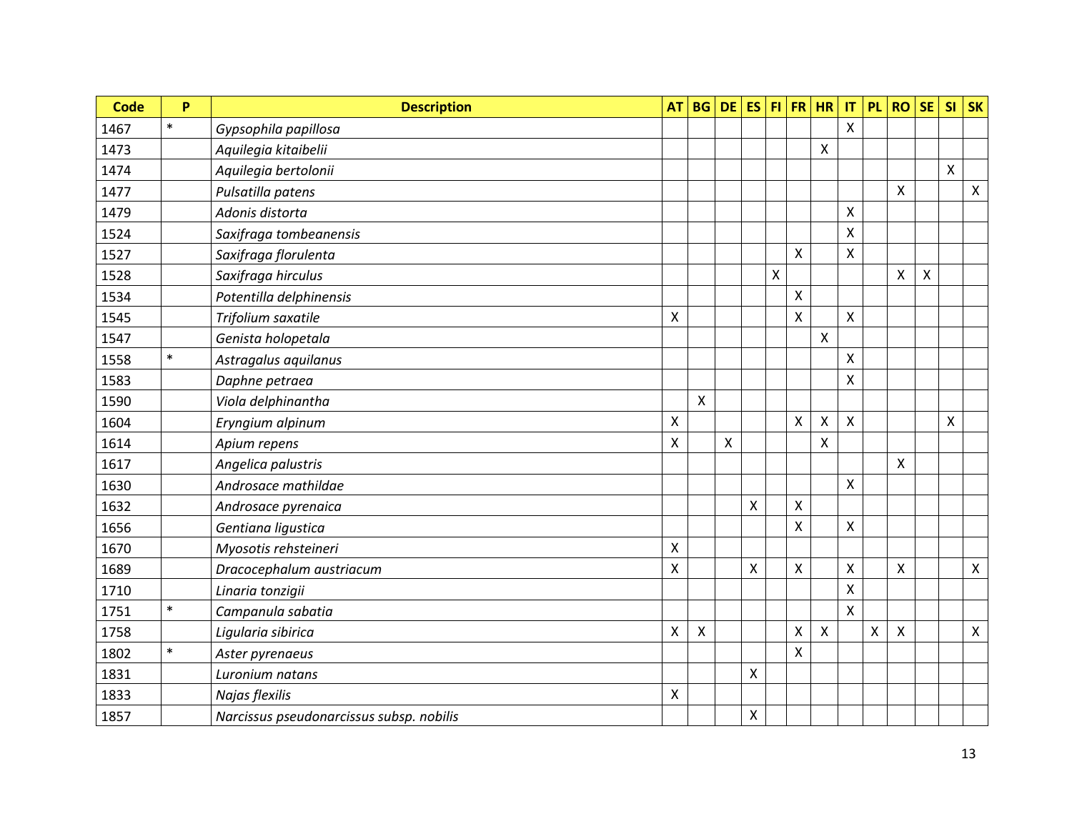| <b>Code</b> | P      | <b>Description</b>                       | <b>AT</b>                 | <b>BG</b>                 | <b>DE</b> | <b>ES</b> |                           |                    | $FI$ FR $HR$   | IT | <b>PL</b>                 | <b>RO</b> | <b>SE</b> | <b>SI</b>                 | <b>SK</b>    |
|-------------|--------|------------------------------------------|---------------------------|---------------------------|-----------|-----------|---------------------------|--------------------|----------------|----|---------------------------|-----------|-----------|---------------------------|--------------|
| 1467        | $\ast$ | Gypsophila papillosa                     |                           |                           |           |           |                           |                    |                | X  |                           |           |           |                           |              |
| 1473        |        | Aquilegia kitaibelii                     |                           |                           |           |           |                           |                    | X              |    |                           |           |           |                           |              |
| 1474        |        | Aquilegia bertolonii                     |                           |                           |           |           |                           |                    |                |    |                           |           |           | $\boldsymbol{\mathsf{X}}$ |              |
| 1477        |        | Pulsatilla patens                        |                           |                           |           |           |                           |                    |                |    |                           | Χ         |           |                           | $\mathsf{X}$ |
| 1479        |        | Adonis distorta                          |                           |                           |           |           |                           |                    |                | Χ  |                           |           |           |                           |              |
| 1524        |        | Saxifraga tombeanensis                   |                           |                           |           |           |                           |                    |                | X  |                           |           |           |                           |              |
| 1527        |        | Saxifraga florulenta                     |                           |                           |           |           |                           | $\mathsf{X}$       |                | X  |                           |           |           |                           |              |
| 1528        |        | Saxifraga hirculus                       |                           |                           |           |           | $\boldsymbol{\mathsf{X}}$ |                    |                |    |                           | X         | $\sf X$   |                           |              |
| 1534        |        | Potentilla delphinensis                  |                           |                           |           |           |                           | Χ                  |                |    |                           |           |           |                           |              |
| 1545        |        | Trifolium saxatile                       | $\pmb{\mathsf{X}}$        |                           |           |           |                           | X                  |                | X  |                           |           |           |                           |              |
| 1547        |        | Genista holopetala                       |                           |                           |           |           |                           |                    | $\pmb{\times}$ |    |                           |           |           |                           |              |
| 1558        | $\ast$ | Astragalus aquilanus                     |                           |                           |           |           |                           |                    |                | X  |                           |           |           |                           |              |
| 1583        |        | Daphne petraea                           |                           |                           |           |           |                           |                    |                | X  |                           |           |           |                           |              |
| 1590        |        | Viola delphinantha                       |                           | $\boldsymbol{\mathsf{X}}$ |           |           |                           |                    |                |    |                           |           |           |                           |              |
| 1604        |        | Eryngium alpinum                         | $\pmb{\mathsf{X}}$        |                           |           |           |                           | $\pmb{\mathsf{X}}$ | $\pmb{\times}$ | X  |                           |           |           | $\mathsf{x}$              |              |
| 1614        |        | Apium repens                             | $\boldsymbol{\mathsf{X}}$ |                           | X         |           |                           |                    | $\pmb{\times}$ |    |                           |           |           |                           |              |
| 1617        |        | Angelica palustris                       |                           |                           |           |           |                           |                    |                |    |                           | Χ         |           |                           |              |
| 1630        |        | Androsace mathildae                      |                           |                           |           |           |                           |                    |                | X  |                           |           |           |                           |              |
| 1632        |        | Androsace pyrenaica                      |                           |                           |           | Χ         |                           | Χ                  |                |    |                           |           |           |                           |              |
| 1656        |        | Gentiana ligustica                       |                           |                           |           |           |                           | Χ                  |                | X  |                           |           |           |                           |              |
| 1670        |        | Myosotis rehsteineri                     | $\boldsymbol{\mathsf{X}}$ |                           |           |           |                           |                    |                |    |                           |           |           |                           |              |
| 1689        |        | Dracocephalum austriacum                 | $\boldsymbol{\mathsf{X}}$ |                           |           | Χ         |                           | Χ                  |                | X  |                           | Χ         |           |                           | $\mathsf{X}$ |
| 1710        |        | Linaria tonzigii                         |                           |                           |           |           |                           |                    |                | X  |                           |           |           |                           |              |
| 1751        | $\ast$ | Campanula sabatia                        |                           |                           |           |           |                           |                    |                | X  |                           |           |           |                           |              |
| 1758        |        | Ligularia sibirica                       | $\pmb{\times}$            | X                         |           |           |                           | X                  | $\pmb{\times}$ |    | $\boldsymbol{\mathsf{X}}$ | Χ         |           |                           | $\mathsf{X}$ |
| 1802        | $\ast$ | Aster pyrenaeus                          |                           |                           |           |           |                           | $\mathsf{X}$       |                |    |                           |           |           |                           |              |
| 1831        |        | Luronium natans                          |                           |                           |           | Χ         |                           |                    |                |    |                           |           |           |                           |              |
| 1833        |        | Najas flexilis                           | Χ                         |                           |           |           |                           |                    |                |    |                           |           |           |                           |              |
| 1857        |        | Narcissus pseudonarcissus subsp. nobilis |                           |                           |           | Χ         |                           |                    |                |    |                           |           |           |                           |              |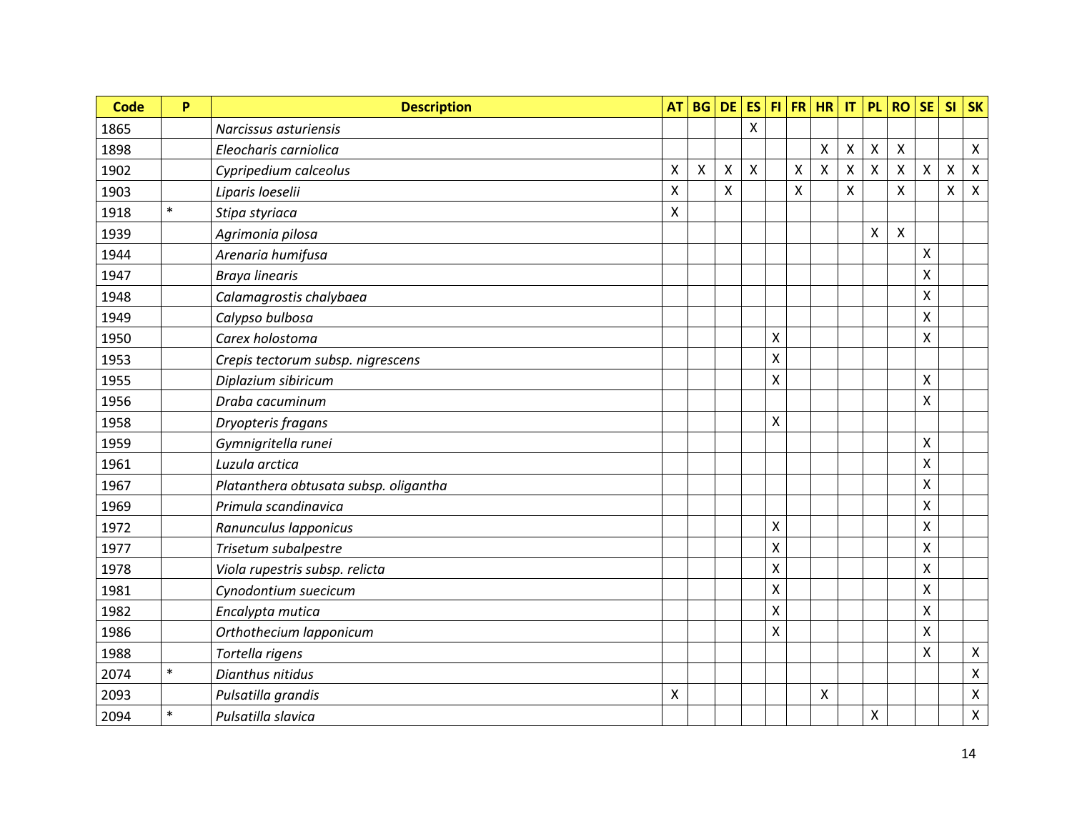| <b>Code</b> | P      | <b>Description</b>                    | <b>AT</b>      | <b>BG</b> | <b>DE</b>    | <b>ES</b>    |   |                    | $FI$ FR $HR$              | $\mathsf{I}\mathsf{T}$ | <b>PL</b>       | <b>RO</b> | <b>SE</b>                 | <b>SI</b>       | <b>SK</b>          |
|-------------|--------|---------------------------------------|----------------|-----------|--------------|--------------|---|--------------------|---------------------------|------------------------|-----------------|-----------|---------------------------|-----------------|--------------------|
| 1865        |        | Narcissus asturiensis                 |                |           |              | $\mathsf{X}$ |   |                    |                           |                        |                 |           |                           |                 |                    |
| 1898        |        | Eleocharis carniolica                 |                |           |              |              |   |                    | $\pmb{\times}$            | Χ                      | Χ               | Χ         |                           |                 | $\mathsf{X}$       |
| 1902        |        | Cypripedium calceolus                 | $\mathsf{X}$   | X         | $\mathsf{X}$ | X            |   | $\mathsf{\chi}$    | $\boldsymbol{\mathsf{X}}$ | X                      | $\mathsf{\chi}$ | X         | $\boldsymbol{\mathsf{X}}$ | $\mathsf{\chi}$ | $\mathsf{X}$       |
| 1903        |        | Liparis loeselii                      | $\pmb{\times}$ |           | X            |              |   | $\pmb{\mathsf{X}}$ |                           | X                      |                 | Χ         |                           | Χ               | $\pmb{\mathsf{X}}$ |
| 1918        | $\ast$ | Stipa styriaca                        | X              |           |              |              |   |                    |                           |                        |                 |           |                           |                 |                    |
| 1939        |        | Agrimonia pilosa                      |                |           |              |              |   |                    |                           |                        | X               | Χ         |                           |                 |                    |
| 1944        |        | Arenaria humifusa                     |                |           |              |              |   |                    |                           |                        |                 |           | X                         |                 |                    |
| 1947        |        | <b>Braya linearis</b>                 |                |           |              |              |   |                    |                           |                        |                 |           | X                         |                 |                    |
| 1948        |        | Calamagrostis chalybaea               |                |           |              |              |   |                    |                           |                        |                 |           | $\sf X$                   |                 |                    |
| 1949        |        | Calypso bulbosa                       |                |           |              |              |   |                    |                           |                        |                 |           | $\mathsf{\chi}$           |                 |                    |
| 1950        |        | Carex holostoma                       |                |           |              |              | X |                    |                           |                        |                 |           | $\mathsf{\chi}$           |                 |                    |
| 1953        |        | Crepis tectorum subsp. nigrescens     |                |           |              |              | Χ |                    |                           |                        |                 |           |                           |                 |                    |
| 1955        |        | Diplazium sibiricum                   |                |           |              |              | X |                    |                           |                        |                 |           | $\mathsf{x}$              |                 |                    |
| 1956        |        | Draba cacuminum                       |                |           |              |              |   |                    |                           |                        |                 |           | $\mathsf{\chi}$           |                 |                    |
| 1958        |        | Dryopteris fragans                    |                |           |              |              | X |                    |                           |                        |                 |           |                           |                 |                    |
| 1959        |        | Gymnigritella runei                   |                |           |              |              |   |                    |                           |                        |                 |           | X                         |                 |                    |
| 1961        |        | Luzula arctica                        |                |           |              |              |   |                    |                           |                        |                 |           | $\sf X$                   |                 |                    |
| 1967        |        | Platanthera obtusata subsp. oligantha |                |           |              |              |   |                    |                           |                        |                 |           | $\boldsymbol{\mathsf{X}}$ |                 |                    |
| 1969        |        | Primula scandinavica                  |                |           |              |              |   |                    |                           |                        |                 |           | $\mathsf{\chi}$           |                 |                    |
| 1972        |        | Ranunculus Iapponicus                 |                |           |              |              | X |                    |                           |                        |                 |           | $\mathsf{\chi}$           |                 |                    |
| 1977        |        | Trisetum subalpestre                  |                |           |              |              | X |                    |                           |                        |                 |           | X                         |                 |                    |
| 1978        |        | Viola rupestris subsp. relicta        |                |           |              |              | Χ |                    |                           |                        |                 |           | X                         |                 |                    |
| 1981        |        | Cynodontium suecicum                  |                |           |              |              | Χ |                    |                           |                        |                 |           | X                         |                 |                    |
| 1982        |        | Encalypta mutica                      |                |           |              |              | Χ |                    |                           |                        |                 |           | X                         |                 |                    |
| 1986        |        | Orthothecium lapponicum               |                |           |              |              | Χ |                    |                           |                        |                 |           | X                         |                 |                    |
| 1988        |        | Tortella rigens                       |                |           |              |              |   |                    |                           |                        |                 |           | X                         |                 | $\mathsf{X}$       |
| 2074        | $\ast$ | Dianthus nitidus                      |                |           |              |              |   |                    |                           |                        |                 |           |                           |                 | $\pmb{\mathsf{X}}$ |
| 2093        |        | Pulsatilla grandis                    | X              |           |              |              |   |                    | $\pmb{\times}$            |                        |                 |           |                           |                 | $\pmb{\times}$     |
| 2094        | $\ast$ | Pulsatilla slavica                    |                |           |              |              |   |                    |                           |                        | Χ               |           |                           |                 | $\pmb{\mathsf{X}}$ |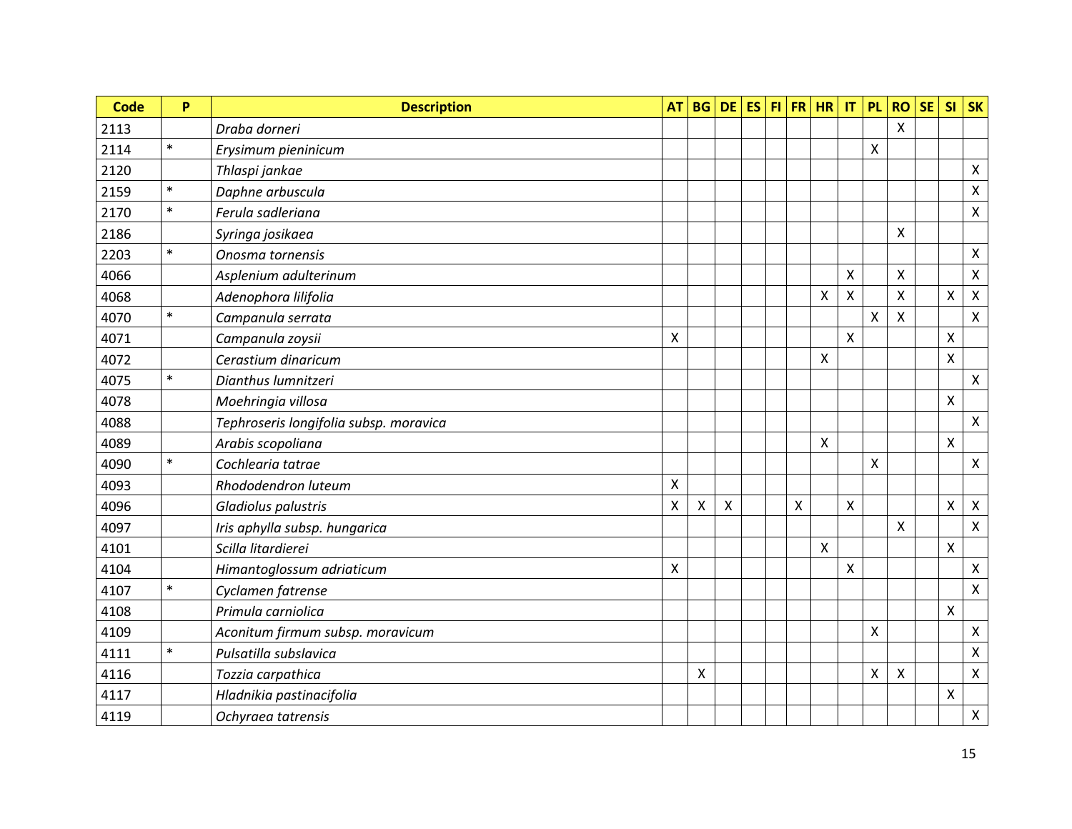| <b>Code</b> | P      | <b>Description</b>                     | <b>AT</b>          | <b>BG</b> | <b>DE</b> | <b>ES</b> |              | $FI$ FR $HR$              | $\ensuremath{\mathsf{IT}}\xspace$ | <b>PL</b>          | <b>RO</b> | <b>SE</b> | <b>SI</b>          | <b>SK</b>                 |
|-------------|--------|----------------------------------------|--------------------|-----------|-----------|-----------|--------------|---------------------------|-----------------------------------|--------------------|-----------|-----------|--------------------|---------------------------|
| 2113        |        | Draba dorneri                          |                    |           |           |           |              |                           |                                   |                    | $\sf X$   |           |                    |                           |
| 2114        | $\ast$ | Erysimum pieninicum                    |                    |           |           |           |              |                           |                                   | X                  |           |           |                    |                           |
| 2120        |        | Thlaspi jankae                         |                    |           |           |           |              |                           |                                   |                    |           |           |                    | $\mathsf{X}$              |
| 2159        | $\ast$ | Daphne arbuscula                       |                    |           |           |           |              |                           |                                   |                    |           |           |                    | $\pmb{\mathsf{X}}$        |
| 2170        | $\ast$ | Ferula sadleriana                      |                    |           |           |           |              |                           |                                   |                    |           |           |                    | $\pmb{\times}$            |
| 2186        |        | Syringa josikaea                       |                    |           |           |           |              |                           |                                   |                    | Χ         |           |                    |                           |
| 2203        | $\ast$ | Onosma tornensis                       |                    |           |           |           |              |                           |                                   |                    |           |           |                    | $\mathsf{X}$              |
| 4066        |        | Asplenium adulterinum                  |                    |           |           |           |              |                           | X                                 |                    | X         |           |                    | $\mathsf X$               |
| 4068        |        | Adenophora lilifolia                   |                    |           |           |           |              | $\pmb{\times}$            | X                                 |                    | X         |           | $\pmb{\times}$     | $\pmb{\times}$            |
| 4070        | $\ast$ | Campanula serrata                      |                    |           |           |           |              |                           |                                   | $\pmb{\mathsf{X}}$ | X         |           |                    | $\mathsf{X}$              |
| 4071        |        | Campanula zoysii                       | $\pmb{\mathsf{X}}$ |           |           |           |              |                           | X                                 |                    |           |           | $\pmb{\mathsf{X}}$ |                           |
| 4072        |        | Cerastium dinaricum                    |                    |           |           |           |              | X                         |                                   |                    |           |           | X                  |                           |
| 4075        | $\ast$ | Dianthus lumnitzeri                    |                    |           |           |           |              |                           |                                   |                    |           |           |                    | $\mathsf{X}$              |
| 4078        |        | Moehringia villosa                     |                    |           |           |           |              |                           |                                   |                    |           |           | $\pmb{\mathsf{X}}$ |                           |
| 4088        |        | Tephroseris longifolia subsp. moravica |                    |           |           |           |              |                           |                                   |                    |           |           |                    | $\mathsf{X}$              |
| 4089        |        | Arabis scopoliana                      |                    |           |           |           |              | $\pmb{\times}$            |                                   |                    |           |           | X                  |                           |
| 4090        | $\ast$ | Cochlearia tatrae                      |                    |           |           |           |              |                           |                                   | X                  |           |           |                    | $\mathsf{X}$              |
| 4093        |        | Rhododendron luteum                    | $\mathsf{X}$       |           |           |           |              |                           |                                   |                    |           |           |                    |                           |
| 4096        |        | Gladiolus palustris                    | $\pmb{\mathsf{X}}$ | Χ         | Χ         |           | $\mathsf{X}$ |                           | Χ                                 |                    |           |           | X                  | $\pmb{\times}$            |
| 4097        |        | Iris aphylla subsp. hungarica          |                    |           |           |           |              |                           |                                   |                    | X         |           |                    | $\pmb{\times}$            |
| 4101        |        | Scilla litardierei                     |                    |           |           |           |              | $\boldsymbol{\mathsf{X}}$ |                                   |                    |           |           | $\mathsf{X}$       |                           |
| 4104        |        | Himantoglossum adriaticum              | $\mathsf{X}$       |           |           |           |              |                           | Χ                                 |                    |           |           |                    | $\mathsf{X}$              |
| 4107        | $\ast$ | Cyclamen fatrense                      |                    |           |           |           |              |                           |                                   |                    |           |           |                    | $\pmb{\mathsf{X}}$        |
| 4108        |        | Primula carniolica                     |                    |           |           |           |              |                           |                                   |                    |           |           | X                  |                           |
| 4109        |        | Aconitum firmum subsp. moravicum       |                    |           |           |           |              |                           |                                   | X                  |           |           |                    | $\mathsf{X}$              |
| 4111        | $\ast$ | Pulsatilla subslavica                  |                    |           |           |           |              |                           |                                   |                    |           |           |                    | $\boldsymbol{\mathsf{X}}$ |
| 4116        |        | Tozzia carpathica                      |                    | X         |           |           |              |                           |                                   | X                  | Χ         |           |                    | $\mathsf{X}$              |
| 4117        |        | Hladnikia pastinacifolia               |                    |           |           |           |              |                           |                                   |                    |           |           | $\pmb{\mathsf{X}}$ |                           |
| 4119        |        | Ochyraea tatrensis                     |                    |           |           |           |              |                           |                                   |                    |           |           |                    | $\mathsf{X}^-$            |